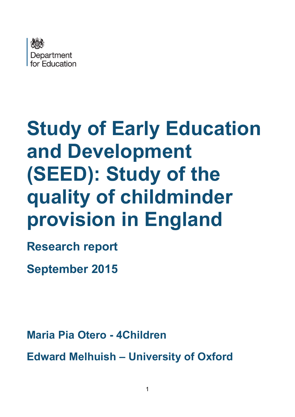

# **Study of Early Education and Development (SEED): Study of the quality of childminder provision in England**

**Research report** 

**September 2015**

**Maria Pia Otero - 4Children**

**Edward Melhuish – University of Oxford**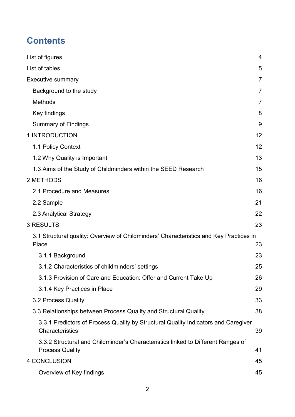# **Contents**

| List of figures                                                                                            | 4  |
|------------------------------------------------------------------------------------------------------------|----|
| List of tables                                                                                             | 5  |
| <b>Executive summary</b>                                                                                   | 7  |
| Background to the study                                                                                    | 7  |
| <b>Methods</b>                                                                                             | 7  |
| Key findings                                                                                               | 8  |
| <b>Summary of Findings</b>                                                                                 | 9  |
| 1 INTRODUCTION                                                                                             | 12 |
| 1.1 Policy Context                                                                                         | 12 |
| 1.2 Why Quality is Important                                                                               | 13 |
| 1.3 Aims of the Study of Childminders within the SEED Research                                             | 15 |
| 2 METHODS                                                                                                  | 16 |
| 2.1 Procedure and Measures                                                                                 | 16 |
| 2.2 Sample                                                                                                 | 21 |
| 2.3 Analytical Strategy                                                                                    | 22 |
| <b>3 RESULTS</b>                                                                                           | 23 |
| 3.1 Structural quality: Overview of Childminders' Characteristics and Key Practices in<br>Place            | 23 |
| 3.1.1 Background                                                                                           | 23 |
| 3.1.2 Characteristics of childminders' settings                                                            | 25 |
| 3.1.3 Provision of Care and Education: Offer and Current Take Up                                           | 26 |
| 3.1.4 Key Practices in Place                                                                               | 29 |
| 3.2 Process Quality                                                                                        | 33 |
| 3.3 Relationships between Process Quality and Structural Quality                                           | 38 |
| 3.3.1 Predictors of Process Quality by Structural Quality Indicators and Caregiver<br>Characteristics      | 39 |
| 3.3.2 Structural and Childminder's Characteristics linked to Different Ranges of<br><b>Process Quality</b> | 41 |
| <b>4 CONCLUSION</b>                                                                                        | 45 |
| Overview of Key findings                                                                                   | 45 |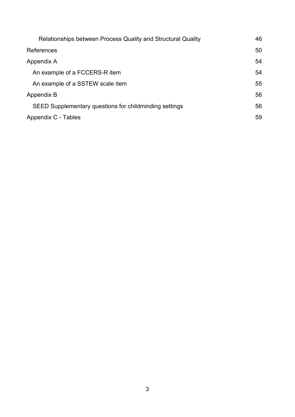| Relationships between Process Quality and Structural Quality | 46 |
|--------------------------------------------------------------|----|
| References                                                   | 50 |
| Appendix A                                                   | 54 |
| An example of a FCCERS-R item                                | 54 |
| An example of a SSTEW scale item                             | 55 |
| Appendix B                                                   | 56 |
| SEED Supplementary questions for childminding settings       | 56 |
| Appendix C - Tables                                          | 59 |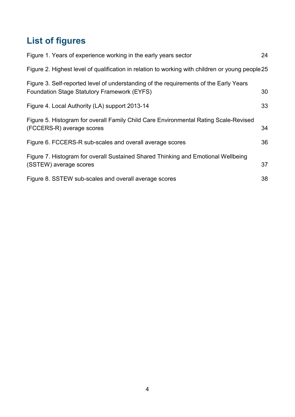# <span id="page-3-0"></span>**List of figures**

| Figure 1. Years of experience working in the early years sector                                                                      | 24 |
|--------------------------------------------------------------------------------------------------------------------------------------|----|
| Figure 2. Highest level of qualification in relation to working with children or young people 25                                     |    |
| Figure 3. Self-reported level of understanding of the requirements of the Early Years<br>Foundation Stage Statutory Framework (EYFS) | 30 |
| Figure 4. Local Authority (LA) support 2013-14                                                                                       | 33 |
| Figure 5. Histogram for overall Family Child Care Environmental Rating Scale-Revised<br>(FCCERS-R) average scores                    | 34 |
| Figure 6. FCCERS-R sub-scales and overall average scores                                                                             | 36 |
| Figure 7. Histogram for overall Sustained Shared Thinking and Emotional Wellbeing<br>(SSTEW) average scores                          | 37 |
| Figure 8. SSTEW sub-scales and overall average scores                                                                                | 38 |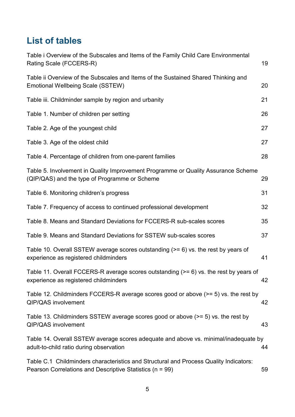# <span id="page-4-0"></span>**List of tables**

| Table i Overview of the Subscales and Items of the Family Child Care Environmental<br>Rating Scale (FCCERS-R)                                     | 19 |
|---------------------------------------------------------------------------------------------------------------------------------------------------|----|
| Table ii Overview of the Subscales and Items of the Sustained Shared Thinking and<br>Emotional Wellbeing Scale (SSTEW)                            | 20 |
| Table iii. Childminder sample by region and urbanity                                                                                              | 21 |
| Table 1. Number of children per setting                                                                                                           | 26 |
| Table 2. Age of the youngest child                                                                                                                | 27 |
| Table 3. Age of the oldest child                                                                                                                  | 27 |
| Table 4. Percentage of children from one-parent families                                                                                          | 28 |
| Table 5. Involvement in Quality Improvement Programme or Quality Assurance Scheme<br>(QIP/QAS) and the type of Programme or Scheme                | 29 |
| Table 6. Monitoring children's progress                                                                                                           | 31 |
| Table 7. Frequency of access to continued professional development                                                                                | 32 |
| Table 8. Means and Standard Deviations for FCCERS-R sub-scales scores                                                                             | 35 |
| Table 9. Means and Standard Deviations for SSTEW sub-scales scores                                                                                | 37 |
| Table 10. Overall SSTEW average scores outstanding (>= 6) vs. the rest by years of<br>experience as registered childminders                       | 41 |
| Table 11. Overall FCCERS-R average scores outstanding $(>= 6)$ vs. the rest by years of<br>experience as registered childminders                  | 42 |
| Table 12. Childminders FCCERS-R average scores good or above $(>= 5)$ vs. the rest by<br>QIP/QAS involvement                                      | 42 |
| Table 13. Childminders SSTEW average scores good or above $(>= 5)$ vs. the rest by<br><b>QIP/QAS</b> involvement                                  | 43 |
| Table 14. Overall SSTEW average scores adequate and above vs. minimal/inadequate by<br>adult-to-child ratio during observation                    | 44 |
| Table C.1 Childminders characteristics and Structural and Process Quality Indicators:<br>Pearson Correlations and Descriptive Statistics (n = 99) | 59 |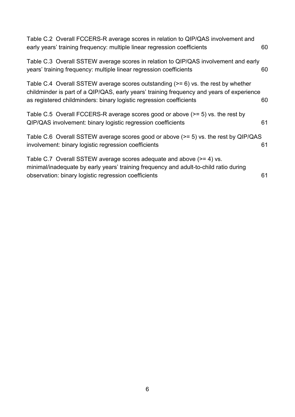| Table C.2 Overall FCCERS-R average scores in relation to QIP/QAS involvement and<br>early years' training frequency: multiple linear regression coefficients                                                                                            | 60 |
|---------------------------------------------------------------------------------------------------------------------------------------------------------------------------------------------------------------------------------------------------------|----|
| Table C.3 Overall SSTEW average scores in relation to QIP/QAS involvement and early<br>years' training frequency: multiple linear regression coefficients                                                                                               | 60 |
| Table C.4 Overall SSTEW average scores outstanding $(>= 6)$ vs. the rest by whether<br>childminder is part of a QIP/QAS, early years' training frequency and years of experience<br>as registered childminders: binary logistic regression coefficients | 60 |
| Table C.5 Overall FCCERS-R average scores good or above (>= 5) vs. the rest by<br>QIP/QAS involvement: binary logistic regression coefficients                                                                                                          | 61 |
| Table C.6 Overall SSTEW average scores good or above (>= 5) vs. the rest by QIP/QAS<br>involvement: binary logistic regression coefficients                                                                                                             | 61 |
| Table C.7 Overall SSTEW average scores adequate and above (>= 4) vs.<br>minimal/inadequate by early years' training frequency and adult-to-child ratio during<br>observation: binary logistic regression coefficients                                   | 61 |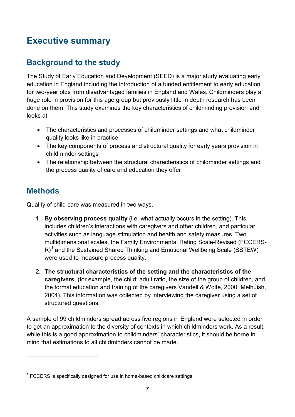# <span id="page-6-0"></span>**Executive summary**

# <span id="page-6-1"></span>**Background to the study**

The Study of Early Education and Development (SEED) is a major study evaluating early education in England including the introduction of a funded entitlement to early education for two-year olds from disadvantaged families in England and Wales. Childminders play a huge role in provision for this age group but previously little in depth research has been done on them. This study examines the key characteristics of childminding provision and looks at:

- The characteristics and processes of childminder settings and what childminder quality looks like in practice
- The key components of process and structural quality for early years provision in childminder settings
- The relationship between the structural characteristics of childminder settings and the process quality of care and education they offer

# <span id="page-6-2"></span>**Methods**

-

Quality of child care was measured in two ways.

- 1. **By observing process quality** (i.e. what actually occurs in the setting). This includes children's interactions with caregivers and other children, and particular activities such as language stimulation and health and safety measures. Two multidimensional scales, the Family Environmental Rating Scale-Revised (FCCERS-R)<sup>[1](#page-6-3)</sup> and the Sustained Shared Thinking and Emotional Wellbeing Scale (SSTEW) were used to measure process quality.
- 2. **The structural characteristics of the setting and the characteristics of the caregivers**, (for example, the child: adult ratio, the size of the group of children, and the formal education and training of the caregivers Vandell & Wolfe, 2000; Melhuish, 2004). This information was collected by interviewing the caregiver using a set of structured questions.

A sample of 99 childminders spread across five regions in England were selected in order to get an approximation to the diversity of contexts in which childminders work. As a result, while this is a good approximation to childminders' characteristics, it should be borne in mind that estimations to all childminders cannot be made.

<span id="page-6-3"></span> $1$  FCCERS is specifically designed for use in home-based childcare settings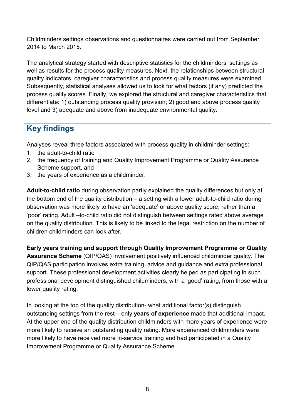Childminders settings observations and questionnaires were carried out from September 2014 to March 2015.

The analytical strategy started with descriptive statistics for the childminders' settings as well as results for the process quality measures. Next, the relationships between structural quality indicators, caregiver characteristics and process quality measures were examined. Subsequently, statistical analyses allowed us to look for what factors (if any) predicted the process quality scores. Finally, we explored the structural and caregiver characteristics that differentiate: 1) outstanding process quality provision; 2) good and above process quality level and 3) adequate and above from inadequate environmental quality.

# <span id="page-7-0"></span>**Key findings**

Analyses reveal three factors associated with process quality in childminder settings:

- 1. the adult-to-child ratio
- 2. the frequency of training and Quality Improvement Programme or Quality Assurance Scheme support, and
- 3. the years of experience as a childminder.

**Adult-to-child ratio** during observation partly explained the quality differences but only at the bottom end of the quality distribution – a setting with a lower adult-to-child ratio during observation was more likely to have an 'adequate' or above quality score, rather than a 'poor' rating. Adult –to-child ratio did not distinguish between settings rated above average on the quality distribution. This is likely to be linked to the legal restriction on the number of children childminders can look after.

**Early years training and support through Quality Improvement Programme or Quality Assurance Scheme** (QIP/QAS) involvement positively influenced childminder quality. The QIP/QAS participation involves extra training, advice and guidance and extra professional support. These professional development activities clearly helped as participating in such professional development distinguished childminders, with a 'good' rating, from those with a lower quality rating.

In looking at the top of the quality distribution- what additional factor(s) distinguish outstanding settings from the rest – only **years of experience** made that additional impact. At the upper end of the quality distribution childminders with more years of experience were more likely to receive an outstanding quality rating. More experienced childminders were more likely to have received more in-service training and had participated in a Quality Improvement Programme or Quality Assurance Scheme.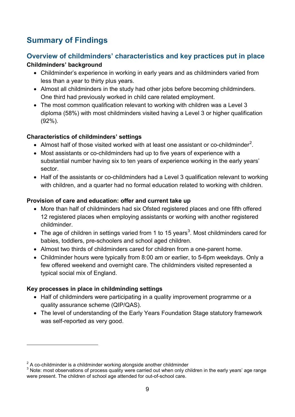# <span id="page-8-0"></span>**Summary of Findings**

### **Overview of childminders' characteristics and key practices put in place Childminders' background**

- Childminder's experience in working in early years and as childminders varied from less than a year to thirty plus years.
- Almost all childminders in the study had other jobs before becoming childminders. One third had previously worked in child care related employment.
- The most common qualification relevant to working with children was a Level 3 diploma (58%) with most childminders visited having a Level 3 or higher qualification (92%).

### **Characteristics of childminders' settings**

- Almost half of those visited worked with at least one assistant or co-childminder<sup>[2](#page-8-1)</sup>.
- Most assistants or co-childminders had up to five years of experience with a substantial number having six to ten years of experience working in the early years' sector.
- Half of the assistants or co-childminders had a Level 3 qualification relevant to working with children, and a quarter had no formal education related to working with children.

### **Provision of care and education: offer and current take up**

- More than half of childminders had six Ofsted registered places and one fifth offered 12 registered places when employing assistants or working with another registered childminder.
- The age of children in settings varied from 1 to 15 years<sup>[3](#page-8-2)</sup>. Most childminders cared for babies, toddlers, pre-schoolers and school aged children.
- Almost two thirds of childminders cared for children from a one-parent home.
- Childminder hours were typically from 8:00 am or earlier, to 5-6pm weekdays. Only a few offered weekend and overnight care. The childminders visited represented a typical social mix of England.

### **Key processes in place in childminding settings**

-

- Half of childminders were participating in a quality improvement programme or a quality assurance scheme (QIP/QAS).
- The level of understanding of the Early Years Foundation Stage statutory framework was self-reported as very good.

<span id="page-8-2"></span><span id="page-8-1"></span>

 $2^2$  A co-childminder is a childminder working alongside another childminder<br> $3$  Note: most observations of process quality were carried out when only children in the early years' age range were present. The children of school age attended for out-of-school care.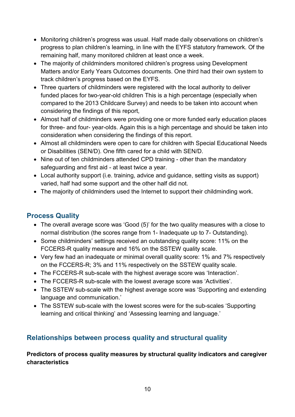- Monitoring children's progress was usual. Half made daily observations on children's progress to plan children's learning, in line with the EYFS statutory framework. Of the remaining half, many monitored children at least once a week.
- The majority of childminders monitored children's progress using Development Matters and/or Early Years Outcomes documents. One third had their own system to track children's progress based on the EYFS.
- Three quarters of childminders were registered with the local authority to deliver funded places for two-year-old children This is a high percentage (especially when compared to the 2013 Childcare Survey) and needs to be taken into account when considering the findings of this report,
- Almost half of childminders were providing one or more funded early education places for three- and four- year-olds. Again this is a high percentage and should be taken into consideration when considering the findings of this report.
- Almost all childminders were open to care for children with Special Educational Needs or Disabilities (SEN/D). One fifth cared for a child with SEN/D.
- Nine out of ten childminders attended CPD training other than the mandatory safeguarding and first aid - at least twice a year.
- Local authority support (i.e. training, advice and guidance, setting visits as support) varied, half had some support and the other half did not.
- The majority of childminders used the Internet to support their childminding work.

### **Process Quality**

- The overall average score was 'Good (5)' for the two quality measures with a close to normal distribution (the scores range from 1- Inadequate up to 7- Outstanding).
- Some childminders' settings received an outstanding quality score: 11% on the FCCERS-R quality measure and 16% on the SSTEW quality scale.
- Very few had an inadequate or minimal overall quality score: 1% and 7% respectively on the FCCERS-R; 3% and 11% respectively on the SSTEW quality scale.
- The FCCERS-R sub-scale with the highest average score was 'Interaction'.
- The FCCERS-R sub-scale with the lowest average score was 'Activities'.
- The SSTEW sub-scale with the highest average score was 'Supporting and extending language and communication.'
- The SSTEW sub-scale with the lowest scores were for the sub-scales 'Supporting learning and critical thinking' and 'Assessing learning and language.'

# **Relationships between process quality and structural quality**

**Predictors of process quality measures by structural quality indicators and caregiver characteristics**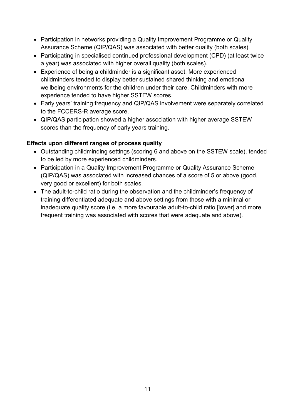- Participation in networks providing a Quality Improvement Programme or Quality Assurance Scheme (QIP/QAS) was associated with better quality (both scales).
- Participating in specialised continued professional development (CPD) (at least twice a year) was associated with higher overall quality (both scales).
- Experience of being a childminder is a significant asset. More experienced childminders tended to display better sustained shared thinking and emotional wellbeing environments for the children under their care. Childminders with more experience tended to have higher SSTEW scores.
- Early years' training frequency and QIP/QAS involvement were separately correlated to the FCCERS-R average score.
- QIP/QAS participation showed a higher association with higher average SSTEW scores than the frequency of early years training.

### **Effects upon different ranges of process quality**

- Outstanding childminding settings (scoring 6 and above on the SSTEW scale), tended to be led by more experienced childminders.
- Participation in a Quality Improvement Programme or Quality Assurance Scheme (QIP/QAS) was associated with increased chances of a score of 5 or above (good, very good or excellent) for both scales.
- The adult-to-child ratio during the observation and the childminder's frequency of training differentiated adequate and above settings from those with a minimal or inadequate quality score (i.e. a more favourable adult-to-child ratio [lower] and more frequent training was associated with scores that were adequate and above).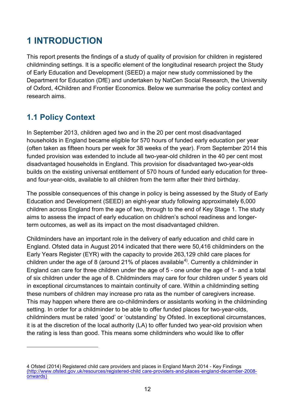# <span id="page-11-0"></span>**1 INTRODUCTION**

This report presents the findings of a study of quality of provision for children in registered childminding settings. It is a specific element of the longitudinal research project the Study of Early Education and Development (SEED) a major new study commissioned by the Department for Education (DfE) and undertaken by NatCen Social Research, the University of Oxford, 4Children and Frontier Economics. Below we summarise the policy context and research aims.

# <span id="page-11-1"></span>**1.1 Policy Context**

-

In September 2013, children aged two and in the 20 per cent most disadvantaged households in England became eligible for 570 hours of funded early education per year (often taken as fifteen hours per week for 38 weeks of the year). From September 2014 this funded provision was extended to include all two-year-old children in the 40 per cent most disadvantaged households in England. This provision for disadvantaged two-year-olds builds on the existing universal entitlement of 570 hours of funded early education for threeand four-year-olds, available to all children from the term after their third birthday.

The possible consequences of this change in policy is being assessed by the Study of Early Education and Development (SEED) an eight-year study following approximately 6,000 children across England from the age of two, through to the end of Key Stage 1. The study aims to assess the impact of early education on children's school readiness and longerterm outcomes, as well as its impact on the most disadvantaged children.

Childminders have an important role in the delivery of early education and child care in England. Ofsted data in August 2014 indicated that there were 50,416 childminders on the Early Years Register (EYR) with the capacity to provide 263,129 child care places for children under the age of 8 (around 21% of places available<sup>[4\)](#page-11-2)</sup>. Currently a childminder in England can care for three children under the age of 5 - one under the age of 1- and a total of six children under the age of 8. Childminders may care for four children under 5 years old in exceptional circumstances to maintain continuity of care. Within a childminding setting these numbers of children may increase pro rata as the number of caregivers increase. This may happen where there are co-childminders or assistants working in the childminding setting. In order for a childminder to be able to offer funded places for two-year-olds, childminders must be rated 'good' or 'outstanding' by Ofsted. In exceptional circumstances, it is at the discretion of the local authority (LA) to offer funded two year-old provision when the rating is less than good. This means some childminders who would like to offer

<span id="page-11-2"></span><sup>4</sup> Ofsted (2014) Registered child care providers and places in England March 2014 - Key Findings [\(http://www.ofsted.gov.uk/resources/registered-child care-providers-and-places-england-december-2008](http://www.ofsted.gov.uk/resources/registered-childcare-providers-and-places-england-december-2008-onwards) [onwards\)](http://www.ofsted.gov.uk/resources/registered-childcare-providers-and-places-england-december-2008-onwards)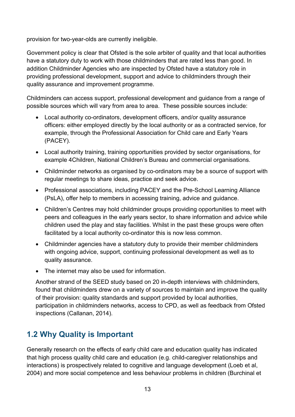provision for two-year-olds are currently ineligible.

Government policy is clear that Ofsted is the sole arbiter of quality and that local authorities have a statutory duty to work with those childminders that are rated less than good. In addition Childminder Agencies who are inspected by Ofsted have a statutory role in providing professional development, support and advice to childminders through their quality assurance and improvement programme.

Childminders can access support, professional development and guidance from a range of possible sources which will vary from area to area. These possible sources include:

- Local authority co-ordinators, development officers, and/or quality assurance officers: either employed directly by the local authority or as a contracted service, for example, through the Professional Association for Child care and Early Years (PACEY).
- Local authority training, training opportunities provided by sector organisations, for example 4Children, National Children's Bureau and commercial organisations.
- Childminder networks as organised by co-ordinators may be a source of support with regular meetings to share ideas, practice and seek advice.
- Professional associations, including PACEY and the Pre-School Learning Alliance (PsLA), offer help to members in accessing training, advice and guidance.
- Children's Centres may hold childminder groups providing opportunities to meet with peers and colleagues in the early years sector, to share information and advice while children used the play and stay facilities. Whilst in the past these groups were often facilitated by a local authority co-ordinator this is now less common.
- Childminder agencies have a statutory duty to provide their member childminders with ongoing advice, support, continuing professional development as well as to quality assurance.
- The internet may also be used for information.

Another strand of the SEED study based on 20 in-depth interviews with childminders, found that childminders drew on a variety of sources to maintain and improve the quality of their provision: quality standards and support provided by local authorities, participation in childminders networks, access to CPD, as well as feedback from Ofsted inspections (Callanan, 2014).

# <span id="page-12-0"></span>**1.2 Why Quality is Important**

Generally research on the effects of early child care and education quality has indicated that high process quality child care and education (e.g. child-caregiver relationships and interactions) is prospectively related to cognitive and language development (Loeb et al, 2004) and more social competence and less behaviour problems in children (Burchinal et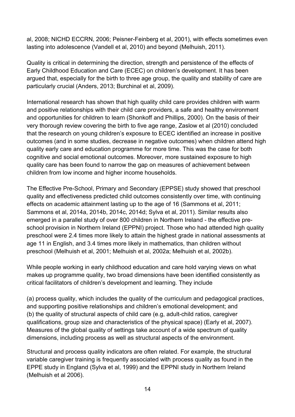al, 2008; NICHD ECCRN, 2006; Peisner-Feinberg et al, 2001), with effects sometimes even lasting into adolescence (Vandell et al, 2010) and beyond (Melhuish, 2011).

Quality is critical in determining the direction, strength and persistence of the effects of Early Childhood Education and Care (ECEC) on children's development. It has been argued that, especially for the birth to three age group, the quality and stability of care are particularly crucial (Anders, 2013; Burchinal et al, 2009).

International research has shown that high quality child care provides children with warm and positive relationships with their child care providers, a safe and healthy environment and opportunities for children to learn (Shonkoff and Phillips, 2000). On the basis of their very thorough review covering the birth to five age range, Zaslow et al (2010) concluded that the research on young children's exposure to ECEC identified an increase in positive outcomes (and in some studies, decrease in negative outcomes) when children attend high quality early care and education programme for more time. This was the case for both cognitive and social emotional outcomes. Moreover, more sustained exposure to high quality care has been found to narrow the gap on measures of achievement between children from low income and higher income households.

The Effective Pre-School, Primary and Secondary (EPPSE) study showed that preschool quality and effectiveness predicted child outcomes consistently over time, with continuing effects on academic attainment lasting up to the age of 16 (Sammons et al, 2011; Sammons et al, 2014a, 2014b, 2014c, 2014d; Sylva et al, 2011). Similar results also emerged in a parallel study of over 800 children in Northern Ireland - the effective preschool provision in Northern Ireland (EPPNI) project. Those who had attended high quality preschool were 2.4 times more likely to attain the highest grade in national assessments at age 11 in English, and 3.4 times more likely in mathematics, than children without preschool (Melhuish et al, 2001; Melhuish et al, 2002a; Melhuish et al, 2002b).

While people working in early childhood education and care hold varying views on what makes up programme quality, two broad dimensions have been identified consistently as critical facilitators of children's development and learning. They include

(a) process quality, which includes the quality of the curriculum and pedagogical practices, and supporting positive relationships and children's emotional development; and (b) the quality of structural aspects of child care (e.g, adult-child ratios, caregiver qualifications, group size and characteristics of the physical space) (Early et al, 2007). Measures of the global quality of settings take account of a wide spectrum of quality dimensions, including process as well as structural aspects of the environment.

Structural and process quality indicators are often related. For example, the structural variable caregiver training is frequently associated with process quality as found in the EPPE study in England (Sylva et al, 1999) and the EPPNI study in Northern Ireland (Melhuish et al 2006).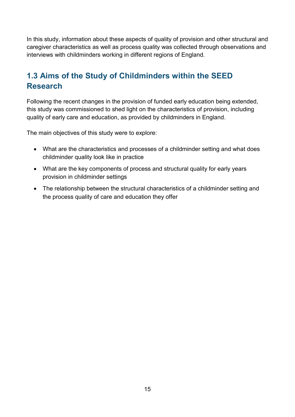In this study, information about these aspects of quality of provision and other structural and caregiver characteristics as well as process quality was collected through observations and interviews with childminders working in different regions of England.

# <span id="page-14-0"></span>**1.3 Aims of the Study of Childminders within the SEED Research**

Following the recent changes in the provision of funded early education being extended, this study was commissioned to shed light on the characteristics of provision, including quality of early care and education, as provided by childminders in England.

The main objectives of this study were to explore:

- What are the characteristics and processes of a childminder setting and what does childminder quality look like in practice
- What are the key components of process and structural quality for early years provision in childminder settings
- The relationship between the structural characteristics of a childminder setting and the process quality of care and education they offer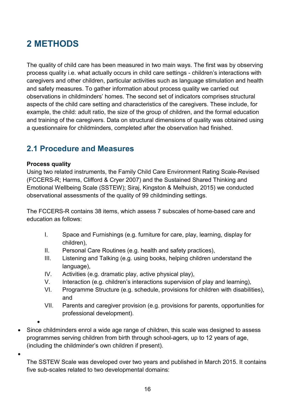# <span id="page-15-0"></span>**2 METHODS**

The quality of child care has been measured in two main ways. The first was by observing process quality i.e. what actually occurs in child care settings - children's interactions with caregivers and other children, particular activities such as language stimulation and health and safety measures. To gather information about process quality we carried out observations in childminders' homes. The second set of indicators comprises structural aspects of the child care setting and characteristics of the caregivers. These include, for example, the child: adult ratio, the size of the group of children, and the formal education and training of the caregivers. Data on structural dimensions of quality was obtained using a questionnaire for childminders, completed after the observation had finished.

# <span id="page-15-1"></span>**2.1 Procedure and Measures**

### **Process quality**

Using two related instruments, the Family Child Care Environment Rating Scale-Revised (FCCERS-R; Harms, Clifford & Cryer 2007) and the Sustained Shared Thinking and Emotional Wellbeing Scale (SSTEW); Siraj, Kingston & Melhuish, 2015) we conducted observational assessments of the quality of 99 childminding settings.

The FCCERS-R contains 38 items, which assess 7 subscales of home-based care and education as follows:

- I. Space and Furnishings (e.g. furniture for care, play, learning, display for children),
- II. Personal Care Routines (e.g. health and safety practices),
- III. Listening and Talking (e.g. using books, helping children understand the language),
- IV. Activities (e.g. dramatic play, active physical play),
- V. Interaction (e.g. children's interactions supervision of play and learning),
- VI. Programme Structure (e.g. schedule, provisions for children with disabilities), and
- VII. Parents and caregiver provision (e.g. provisions for parents, opportunities for professional development).
- •
- Since childminders enrol a wide age range of children, this scale was designed to assess programmes serving children from birth through school-agers, up to 12 years of age, (including the childminder's own children if present).
- •

The SSTEW Scale was developed over two years and published in March 2015. It contains five sub-scales related to two developmental domains: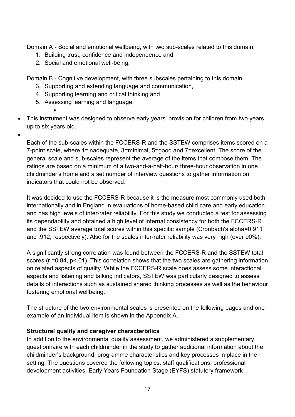Domain A - Social and emotional wellbeing, with two sub-scales related to this domain:

- 1. Building trust, confidence and independence and
- 2. Social and emotional well-being;

Domain B - Cognitive development, with three subscales pertaining to this domain:

- 3. Supporting and extending language and communication,
- 4. Supporting learning and critical thinking and
- 5. Assessing learning and language.

•

- This instrument was designed to observe early years' provision for children from two years up to six years old.
- •

Each of the sub-scales within the FCCERS-R and the SSTEW comprises items scored on a 7-point scale, where 1=inadequate, 3=minimal, 5=good and 7=excellent. The score of the general scale and sub-scales represent the average of the items that compose them. The ratings are based on a minimum of a two-and-a-half-hour/ three-hour observation in one childminder's home and a set number of interview questions to gather information on indicators that could not be observed.

It was decided to use the FCCERS-R because it is the measure most commonly used both internationally and in England in evaluations of home-based child care and early education and has high levels of inter-rater reliability. For this study we conducted a test for assessing its dependability and obtained a high level of internal consistency for both the FCCERS-R and the SSTEW average total scores within this specific sample (Cronbach's alpha=0.911 and .912, respectively). Also for the scales inter-rater reliability was very high (over 90%).

A significantly strong correlation was found between the FCCERS-R and the SSTEW total scores (r = 0.84, p < 0.01). This correlation shows that the two scales are gathering information on related aspects of quality. While the FCCERS-R scale does assess some interactional aspects and listening and talking indicators, SSTEW was particularly designed to assess details of interactions such as sustained shared thinking processes as well as the behaviour fostering emotional wellbeing.

The structure of the two environmental scales is presented on the following pages and one example of an individual item is shown in the Appendix A.

### **Structural quality and caregiver characteristics**

In addition to the environmental quality assessment, we administered a supplementary questionnaire with each childminder in the study to gather additional information about the childminder's background, programme characteristics and key processes in place in the setting. The questions covered the following topics: staff qualifications, professional development activities, Early Years Foundation Stage (EYFS) statutory framework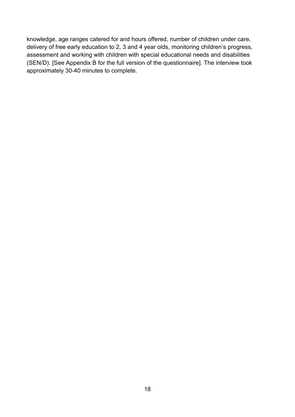knowledge, age ranges catered for and hours offered, number of children under care, delivery of free early education to 2, 3 and 4 year olds, monitoring children's progress, assessment and working with children with special educational needs and disabilities (SEN/D). [See Appendix B for the full version of the questionnaire]. The interview took approximately 30-40 minutes to complete.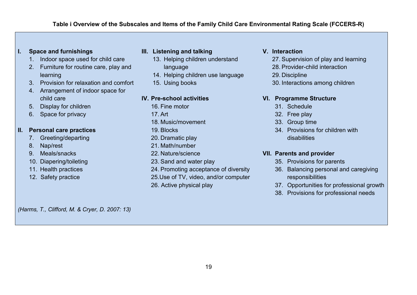#### **Table i Overview of the Subscales and Items of the Family Child Care Environmental Rating Scale (FCCERS-R)**

#### **I. Space and furnishings**

- 1. Indoor space used for child care
- 2. Furniture for routine care, play and learning
- 3. Provision for relaxation and comfort
- 4. Arrangement of indoor space for child care
- 5. Display for children
- 6. Space for privacy

#### **II. Personal care practices**

- 7. Greeting/departing
- <span id="page-18-0"></span>8. Nap/rest
- 9. Meals/snacks
- 10. Diapering/toileting
- 11. Health practices
- 12. Safety practice

#### **III. Listening and talking**

- 13. Helping children understand language
- 14. Helping children use language
- 15. Using books

#### **IV. Pre-school activities**

- 16. Fine motor
- 17. Art
- 18. Music/movement
- 19. Blocks
- 20. Dramatic play
- 21. Math/number
- 22. Nature/science
- 23. Sand and water play
- 24. Promoting acceptance of diversity
- 25.Use of TV, video, and/or computer
- 26. Active physical play

#### **V. Interaction**

- 27. Supervision of play and learning
- 28. Provider-child interaction
- 29. Discipline
- 30. Interactions among children

#### **VI. Programme Structure**

- 31. Schedule
- 32. Free play
- 33. Group time
- 34. Provisions for children with disabilities

#### **VII. Parents and provider**

- 35. Provisions for parents
- 36. Balancing personal and caregiving responsibilities
- 37. Opportunities for professional growth
- 38. Provisions for professional needs

*(Harms, T., Clifford, M. & Cryer, D. 2007: 13)*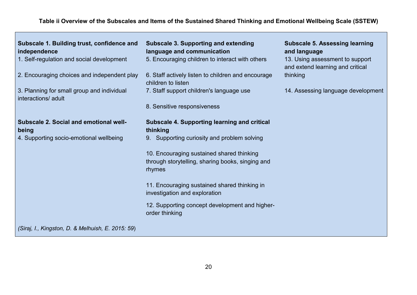### **Table ii Overview of the Subscales and Items of the Sustained Shared Thinking and Emotional Wellbeing Scale (SSTEW)**

<span id="page-19-0"></span>

| Subscale 1. Building trust, confidence and<br>independence<br>1. Self-regulation and social development<br>2. Encouraging choices and independent play<br>3. Planning for small group and individual<br>interactions/ adult | <b>Subscale 3. Supporting and extending</b><br>language and communication<br>5. Encouraging children to interact with others<br>6. Staff actively listen to children and encourage<br>children to listen<br>7. Staff support children's language use<br>8. Sensitive responsiveness                                                                                            | <b>Subscale 5. Assessing learning</b><br>and language<br>13. Using assessment to support<br>and extend learning and critical<br>thinking<br>14. Assessing language development |
|-----------------------------------------------------------------------------------------------------------------------------------------------------------------------------------------------------------------------------|--------------------------------------------------------------------------------------------------------------------------------------------------------------------------------------------------------------------------------------------------------------------------------------------------------------------------------------------------------------------------------|--------------------------------------------------------------------------------------------------------------------------------------------------------------------------------|
| Subscale 2. Social and emotional well-<br>being<br>4. Supporting socio-emotional wellbeing                                                                                                                                  | <b>Subscale 4. Supporting learning and critical</b><br>thinking<br>9. Supporting curiosity and problem solving<br>10. Encouraging sustained shared thinking<br>through storytelling, sharing books, singing and<br>rhymes<br>11. Encouraging sustained shared thinking in<br>investigation and exploration<br>12. Supporting concept development and higher-<br>order thinking |                                                                                                                                                                                |
| (Siraj, I., Kingston, D. & Melhuish, E. 2015: 59)                                                                                                                                                                           |                                                                                                                                                                                                                                                                                                                                                                                |                                                                                                                                                                                |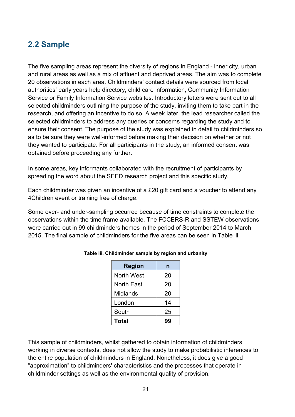# <span id="page-20-0"></span>**2.2 Sample**

The five sampling areas represent the diversity of regions in England - inner city, urban and rural areas as well as a mix of affluent and deprived areas. The aim was to complete 20 observations in each area. Childminders' contact details were sourced from local authorities' early years help directory, child care information, Community Information Service or Family Information Service websites. Introductory letters were sent out to all selected childminders outlining the purpose of the study, inviting them to take part in the research, and offering an incentive to do so. A week later, the lead researcher called the selected childminders to address any queries or concerns regarding the study and to ensure their consent. The purpose of the study was explained in detail to childminders so as to be sure they were well-informed before making their decision on whether or not they wanted to participate. For all participants in the study, an informed consent was obtained before proceeding any further.

In some areas, key informants collaborated with the recruitment of participants by spreading the word about the SEED research project and this specific study.

Each childminder was given an incentive of a £20 gift card and a voucher to attend any 4Children event or training free of charge.

<span id="page-20-1"></span>Some over- and under-sampling occurred because of time constraints to complete the observations within the time frame available. The FCCERS-R and SSTEW observations were carried out in 99 childminders homes in the period of September 2014 to March 2015. The final sample of childminders for the five areas can be seen in Table iii.

| <b>Region</b>     | n  |
|-------------------|----|
| <b>North West</b> | 20 |
| <b>North East</b> | 20 |
| Midlands          | 20 |
| London            | 14 |
| South             | 25 |
| Total             |    |

#### **Table iii. Childminder sample by region and urbanity**

This sample of childminders, whilst gathered to obtain information of childminders working in diverse contexts, does not allow the study to make probabilistic inferences to the entire population of childminders in England. Nonetheless, it does give a good "approximation" to childminders' characteristics and the processes that operate in childminder settings as well as the environmental quality of provision.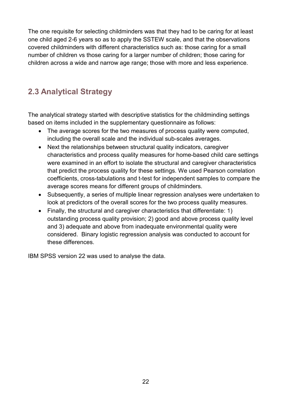The one requisite for selecting childminders was that they had to be caring for at least one child aged 2-6 years so as to apply the SSTEW scale, and that the observations covered childminders with different characteristics such as: those caring for a small number of children vs those caring for a larger number of children; those caring for children across a wide and narrow age range; those with more and less experience.

# <span id="page-21-0"></span>**2.3 Analytical Strategy**

The analytical strategy started with descriptive statistics for the childminding settings based on items included in the supplementary questionnaire as follows:

- The average scores for the two measures of process quality were computed, including the overall scale and the individual sub-scales averages.
- Next the relationships between structural quality indicators, caregiver characteristics and process quality measures for home-based child care settings were examined in an effort to isolate the structural and caregiver characteristics that predict the process quality for these settings. We used Pearson correlation coefficients, cross-tabulations and t-test for independent samples to compare the average scores means for different groups of childminders.
- Subsequently, a series of multiple linear regression analyses were undertaken to look at predictors of the overall scores for the two process quality measures.
- Finally, the structural and caregiver characteristics that differentiate: 1) outstanding process quality provision; 2) good and above process quality level and 3) adequate and above from inadequate environmental quality were considered. Binary logistic regression analysis was conducted to account for these differences.

IBM SPSS version 22 was used to analyse the data.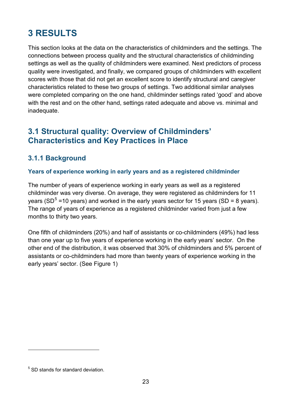# <span id="page-22-0"></span>**3 RESULTS**

This section looks at the data on the characteristics of childminders and the settings. The connections between process quality and the structural characteristics of childminding settings as well as the quality of childminders were examined. Next predictors of process quality were investigated, and finally, we compared groups of childminders with excellent scores with those that did not get an excellent score to identify structural and caregiver characteristics related to these two groups of settings. Two additional similar analyses were completed comparing on the one hand, childminder settings rated 'good' and above with the rest and on the other hand, settings rated adequate and above vs. minimal and inadequate.

# <span id="page-22-1"></span>**3.1 Structural quality: Overview of Childminders' Characteristics and Key Practices in Place**

### <span id="page-22-2"></span>**3.1.1 Background**

### **Years of experience working in early years and as a registered childminder**

The number of years of experience working in early years as well as a registered childminder was very diverse. On average, they were registered as childminders for 11 years (SD<sup>[5](#page-22-3)</sup> =10 years) and worked in the early years sector for 15 years (SD = 8 years). The range of years of experience as a registered childminder varied from just a few months to thirty two years.

One fifth of childminders (20%) and half of assistants or co-childminders (49%) had less than one year up to five years of experience working in the early years' sector. On the other end of the distribution, it was observed that 30% of childminders and 5% percent of assistants or co-childminders had more than twenty years of experience working in the early years' sector. (See Figure 1)

<u>.</u>

<span id="page-22-3"></span><sup>&</sup>lt;sup>5</sup> SD stands for standard deviation.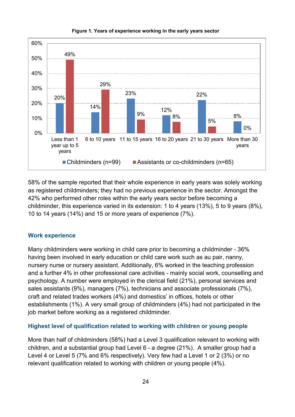<span id="page-23-0"></span>

#### **Figure 1. Years of experience working in the early years sector**

58% of the sample reported that their whole experience in early years was solely working as registered childminders; they had no previous experience in the sector. Amongst the 42% who performed other roles within the early years sector before becoming a childminder, this experience varied in its extension: 1 to 4 years (13%), 5 to 9 years (8%), 10 to 14 years (14%) and 15 or more years of experience (7%).

#### **Work experience**

Many childminders were working in child care prior to becoming a childminder - 36% having been involved in early education or child care work such as au pair, nanny, nursery nurse or nursery assistant. Additionally, 6% worked in the teaching profession and a further 4% in other professional care activities - mainly social work, counselling and psychology. A number were employed in the clerical field (21%), personal services and sales assistants (9%), managers (7%), technicians and associate professionals (7%), craft and related trades workers (4%) and domestics' in offices, hotels or other establishments (1%). A very small group of childminders (4%) had not participated in the job market before working as a registered childminder.

#### **Highest level of qualification related to working with children or young people**

More than half of childminders (58%) had a Level 3 qualification relevant to working with children, and a substantial group had Level 6 - a degree (21%). A smaller group had a Level 4 or Level 5 (7% and 6% respectively). Very few had a Level 1 or 2 (3%) or no relevant qualification related to working with children or young people (4%).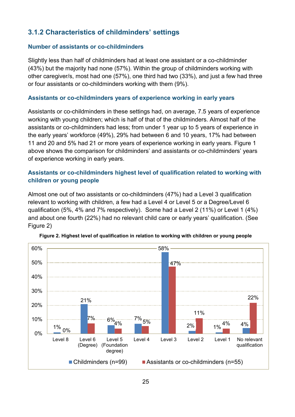## <span id="page-24-0"></span>**3.1.2 Characteristics of childminders' settings**

#### **Number of assistants or co-childminders**

Slightly less than half of childminders had at least one assistant or a co-childminder (43%) but the majority had none (57%). Within the group of childminders working with other caregiver/s, most had one (57%), one third had two (33%), and just a few had three or four assistants or co-childminders working with them (9%).

#### **Assistants or co-childminders years of experience working in early years**

Assistants or co-childminders in these settings had, on average, 7.5 years of experience working with young children; which is half of that of the childminders. Almost half of the assistants or co-childminders had less; from under 1 year up to 5 years of experience in the early years' workforce (49%), 29% had between 6 and 10 years, 17% had between 11 and 20 and 5% had 21 or more years of experience working in early years. Figure 1 above shows the comparison for childminders' and assistants or co-childminders' years of experience working in early years.

### **Assistants or co-childminders highest level of qualification related to working with children or young people**

Almost one out of two assistants or co-childminders (47%) had a Level 3 qualification relevant to working with children, a few had a Level 4 or Level 5 or a Degree/Level 6 qualification (5%, 4% and 7% respectively). Some had a Level 2 (11%) or Level 1 (4%) and about one fourth (22%) had no relevant child care or early years' qualification. (See Figure 2)

<span id="page-24-1"></span>

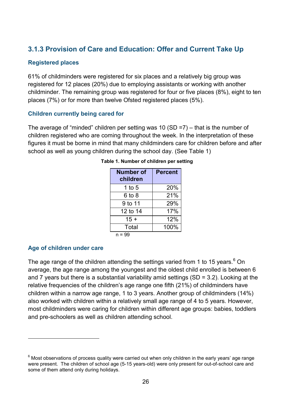### <span id="page-25-0"></span>**3.1.3 Provision of Care and Education: Offer and Current Take Up**

#### **Registered places**

61% of childminders were registered for six places and a relatively big group was registered for 12 places (20%) due to employing assistants or working with another childminder. The remaining group was registered for four or five places (8%), eight to ten places (7%) or for more than twelve Ofsted registered places (5%).

#### **Children currently being cared for**

<span id="page-25-1"></span>The average of "minded" children per setting was 10 (SD =7) – that is the number of children registered who are coming throughout the week. In the interpretation of these figures it must be borne in mind that many childminders care for children before and after school as well as young children during the school day. (See Table 1)

| <b>Number of</b><br>children | <b>Percent</b> |
|------------------------------|----------------|
| 1 to 5                       | 20%            |
| 6 to 8                       | 21%            |
| 9 to 11                      | 29%            |
| 12 to 14                     | 17%            |
| $15 +$                       | 12%            |
| Total                        | 100%           |
| n = 99                       |                |

| Table 1. Number of children per setting |  |  |  |  |
|-----------------------------------------|--|--|--|--|
|-----------------------------------------|--|--|--|--|

### **Age of children under care**

-

The age range of the children attending the settings varied from 1 to 15 years. $^6$  $^6$  On average, the age range among the youngest and the oldest child enrolled is between 6 and 7 years but there is a substantial variability amid settings (SD = 3.2). Looking at the relative frequencies of the children's age range one fifth (21%) of childminders have children within a narrow age range, 1 to 3 years. Another group of childminders (14%) also worked with children within a relatively small age range of 4 to 5 years. However, most childminders were caring for children within different age groups: babies, toddlers and pre-schoolers as well as children attending school.

<span id="page-25-2"></span> $6$  Most observations of process quality were carried out when only children in the early years' age range were present. The children of school age (5-15 years-old) were only present for out-of-school care and some of them attend only during holidays.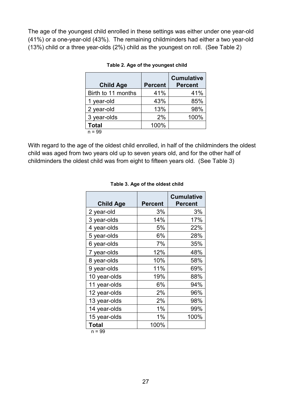<span id="page-26-0"></span>The age of the youngest child enrolled in these settings was either under one year-old (41%) or a one-year-old (43%). The remaining childminders had either a two year-old (13%) child or a three year-olds (2%) child as the youngest on roll. (See Table 2)

| <b>Child Age</b>   | <b>Percent</b> | <b>Cumulative</b><br><b>Percent</b> |
|--------------------|----------------|-------------------------------------|
| Birth to 11 months | 41%            | 41%                                 |
| 1 year-old         | 43%            | 85%                                 |
| 2 year-old         | 13%            | 98%                                 |
| 3 year-olds        | 2%             | 100%                                |
| <b>Total</b>       | 100%           |                                     |
| $= 99$             |                |                                     |

#### **5Table 2. Age of the youngest child**

<span id="page-26-1"></span>With regard to the age of the oldest child enrolled, in half of the childminders the oldest child was aged from two years old up to seven years old, and for the other half of childminders the oldest child was from eight to fifteen years old. (See Table 3)

| <b>Child Age</b> | <b>Percent</b> | <b>Cumulative</b><br><b>Percent</b> |
|------------------|----------------|-------------------------------------|
| 2 year-old       | 3%             | 3%                                  |
| 3 year-olds      | 14%            | 17%                                 |
| 4 year-olds      | 5%             | 22%                                 |
| 5 year-olds      | 6%             | 28%                                 |
| 6 year-olds      | 7%             | 35%                                 |
| 7 year-olds      | 12%            | 48%                                 |
| 8 year-olds      | 10%            | 58%                                 |
| 9 year-olds      | 11%            | 69%                                 |
| 10 year-olds     | 19%            | 88%                                 |
| 11 year-olds     | 6%             | 94%                                 |
| 12 year-olds     | 2%             | 96%                                 |
| 13 year-olds     | 2%             | 98%                                 |
| 14 year-olds     | 1%             | 99%                                 |
| 15 year-olds     | 1%             | 100%                                |
| Total            | 100%           |                                     |

#### **6Table 3. Age of the oldest child**

n = 99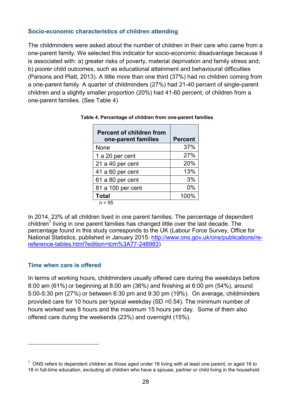#### **Socio-economic characteristics of children attending**

The childminders were asked about the number of children in their care who came from a one-parent family. We selected this indicator for socio-economic disadvantage because it is associated with: a) greater risks of poverty, material deprivation and family stress and; b) poorer child outcomes, such as educational attainment and behavioural difficulties (Parsons and Platt, 2013). A little more than one third (37%) had no children coming from a one-parent family. A quarter of childminders (27%) had 21-40 percent of single-parent children and a slightly smaller proportion (20%) had 41-60 percent, of children from a one-parent families. (See Table 4)

| <b>Percent of children from</b><br>one-parent families | <b>Percent</b> |
|--------------------------------------------------------|----------------|
| None                                                   | 37%            |
| 1 a 20 per cent                                        | 27%            |
| 21 a 40 per cent                                       | 20%            |
| 41 a 60 per cent                                       | 13%            |
| 61 a 80 per cent                                       | 3%             |
| 81 a 100 per cent                                      | $0\%$          |
| <b>Total</b>                                           | 100%           |
| $n = 95$                                               |                |

<span id="page-27-0"></span>

| Table 4. Percentage of children from one-parent families |  |
|----------------------------------------------------------|--|
|----------------------------------------------------------|--|

In 2014, 23% of all children lived in one parent families. The percentage of dependent children<sup>[7](#page-27-1)</sup> living in one parent families has changed little over the last decade. The percentage found in this study corresponds to the UK (Labour Force Survey, Office for National Statistics, published in January 2015. [http://www.ons.gov.uk/ons/publications/re](http://www.ons.gov.uk/ons/publications/re-reference-tables.html?edition=tcm%3A77-248983)[reference-tables.html?edition=tcm%3A77-248983\)](http://www.ons.gov.uk/ons/publications/re-reference-tables.html?edition=tcm%3A77-248983)

#### **Time when care is offered**

-

In terms of working hours, childminders usually offered care during the weekdays before 8:00 am (61%) or beginning at 8:00 am (36%) and finishing at 6:00 pm (54%), around 5:00-5:30 pm (27%) or between 6:30 pm and 9:30 pm (19%). On average, childminders provided care for 10 hours per typical weekday (SD =0.54). The minimum number of hours worked was 8 hours and the maximum 15 hours per day. Some of them also offered care during the weekends (23%) and overnight (15%).

<span id="page-27-1"></span> $7$  ONS refers to dependent children as those aged under 16 living with at least one parent, or aged 16 to 18 in full-time education, excluding all children who have a spouse, partner or child living in the household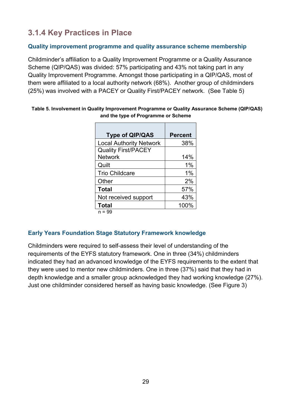# <span id="page-28-0"></span>**3.1.4 Key Practices in Place**

### **Quality improvement programme and quality assurance scheme membership**

Childminder's affiliation to a Quality Improvement Programme or a Quality Assurance Scheme (QIP/QAS) was divided: 57% participating and 43% not taking part in any Quality Improvement Programme. Amongst those participating in a QIP/QAS, most of them were affiliated to a local authority network (68%). Another group of childminders (25%) was involved with a PACEY or Quality First/PACEY network. (See Table 5)

| <b>Type of QIP/QAS</b>         | <b>Percent</b> |
|--------------------------------|----------------|
| <b>Local Authority Network</b> | 38%            |
| <b>Quality First/PACEY</b>     |                |
| <b>Network</b>                 | 14%            |
| Quilt                          | 1%             |
| <b>Trio Childcare</b>          | $1\%$          |
| Other                          | 2%             |
| <b>Total</b>                   | 57%            |
| Not received support           | 43%            |
| <b>Total</b>                   | 100%           |
| $n = 99$                       |                |

#### <span id="page-28-1"></span>**8Table 5. Involvement in Quality Improvement Programme or Quality Assurance Scheme (QIP/QAS) and the type of Programme or Scheme**

### **Early Years Foundation Stage Statutory Framework knowledge**

Childminders were required to self-assess their level of understanding of the requirements of the EYFS statutory framework. One in three (34%) childminders indicated they had an advanced knowledge of the EYFS requirements to the extent that they were used to mentor new childminders. One in three (37%) said that they had in depth knowledge and a smaller group acknowledged they had working knowledge (27%). Just one childminder considered herself as having basic knowledge. (See Figure 3)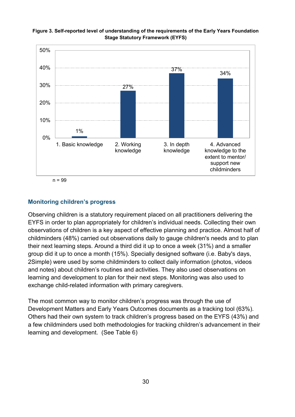

<span id="page-29-0"></span>**Figure 3. Self-reported level of understanding of the requirements of the Early Years Foundation Stage Statutory Framework (EYFS)**

 $n = 99$ 

#### **Monitoring children's progress**

Observing children is a statutory requirement placed on all practitioners delivering the EYFS in order to plan appropriately for children's individual needs. Collecting their own observations of children is a key aspect of effective planning and practice. Almost half of childminders (48%) carried out observations daily to gauge children's needs and to plan their next learning steps. Around a third did it up to once a week (31%) and a smaller group did it up to once a month (15%). Specially designed software (i.e. Baby's days, 2Simple) were used by some childminders to collect daily information (photos, videos and notes) about children's routines and activities. They also used observations on learning and development to plan for their next steps. Monitoring was also used to exchange child-related information with primary caregivers.

The most common way to monitor children's progress was through the use of Development Matters and Early Years Outcomes documents as a tracking tool (63%). Others had their own system to track children's progress based on the EYFS (43%) and a few childminders used both methodologies for tracking children's advancement in their learning and development. (See Table 6)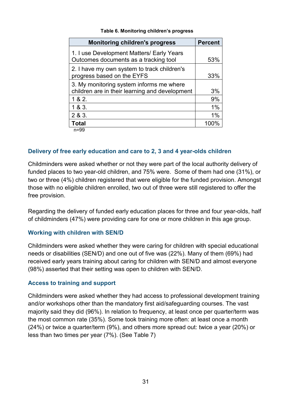<span id="page-30-0"></span>

| <b>Monitoring children's progress</b>                                                      | <b>Percent</b> |
|--------------------------------------------------------------------------------------------|----------------|
| 1. I use Development Matters/ Early Years<br>Outcomes documents as a tracking tool         | 53%            |
| 2. I have my own system to track children's<br>progress based on the EYFS                  | 33%            |
| 3. My monitoring system informs me where<br>children are in their learning and development | 3%             |
| 1 & 2.                                                                                     | 9%             |
| 1 & 8 & 3.                                                                                 | 1%             |
| 2 & 3.                                                                                     | 1%             |
| <b>Total</b>                                                                               | 100%           |
| $n = 99$                                                                                   |                |

#### **9Table 6. Monitoring children's progress**

**Delivery of free early education and care to 2, 3 and 4 year-olds children**

Childminders were asked whether or not they were part of the local authority delivery of funded places to two year-old children, and 75% were. Some of them had one (31%), or two or three (4%) children registered that were eligible for the funded provision. Amongst those with no eligible children enrolled, two out of three were still registered to offer the free provision.

Regarding the delivery of funded early education places for three and four year-olds, half of childminders (47%) were providing care for one or more children in this age group.

#### **Working with children with SEN/D**

Childminders were asked whether they were caring for children with special educational needs or disabilities (SEN/D) and one out of five was (22%). Many of them (69%) had received early years training about caring for children with SEN/D and almost everyone (98%) asserted that their setting was open to children with SEN/D.

#### **Access to training and support**

Childminders were asked whether they had access to professional development training and/or workshops other than the mandatory first aid/safeguarding courses. The vast majority said they did (96%). In relation to frequency, at least once per quarter/term was the most common rate (35%). Some took training more often: at least once a month (24%) or twice a quarter/term (9%), and others more spread out: twice a year (20%) or less than two times per year (7%). (See Table 7)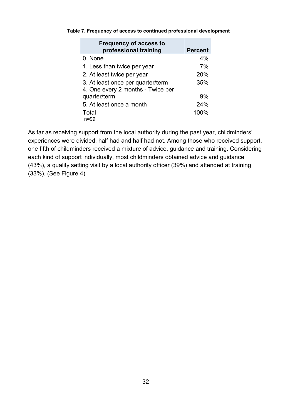| <b>Frequency of access to</b><br>professional training | <b>Percent</b> |
|--------------------------------------------------------|----------------|
| 0. None                                                | 4%             |
| 1. Less than twice per year                            | 7%             |
| 2. At least twice per year                             | 20%            |
| 3. At least once per quarter/term                      | 35%            |
| 4. One every 2 months - Twice per                      |                |
| quarter/term                                           | 9%             |
| 5. At least once a month                               | 24%            |
| Total                                                  | 100%           |
| $n = 99$                                               |                |

<span id="page-31-0"></span>**10Table 7. Frequency of access to continued professional development**

As far as receiving support from the local authority during the past year, childminders' experiences were divided, half had and half had not. Among those who received support, one fifth of childminders received a mixture of advice, guidance and training. Considering each kind of support individually, most childminders obtained advice and guidance (43%), a quality setting visit by a local authority officer (39%) and attended at training (33%). (See Figure 4)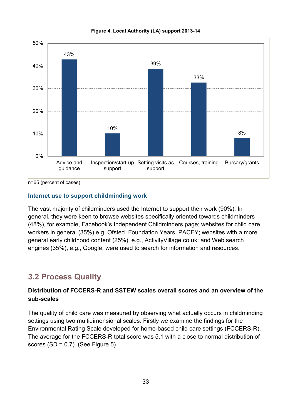<span id="page-32-1"></span>



n=65 (percent of cases)

#### **Internet use to support childminding work**

The vast majority of childminders used the Internet to support their work (90%). In general, they were keen to browse websites specifically oriented towards childminders (48%), for example, Facebook's Independent Childminders page; websites for child care workers in general (35%) e.g. Ofsted, Foundation Years, PACEY; websites with a more general early childhood content (25%), e.g., ActivityVillage.co.uk; and Web search engines (35%), e.g., Google, were used to search for information and resources.

### <span id="page-32-0"></span>**3.2 Process Quality**

### **Distribution of FCCERS-R and SSTEW scales overall scores and an overview of the sub-scales**

The quality of child care was measured by observing what actually occurs in childminding settings using two multidimensional scales. Firstly we examine the findings for the Environmental Rating Scale developed for home-based child care settings (FCCERS-R). The average for the FCCERS-R total score was 5.1 with a close to normal distribution of scores  $(SD = 0.7)$ . (See Figure 5)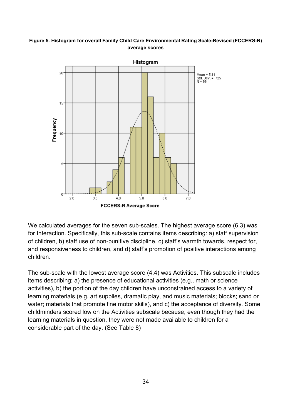#### <span id="page-33-0"></span>**Figure 5. Histogram for overall Family Child Care Environmental Rating Scale-Revised (FCCERS-R) average scores**



We calculated averages for the seven sub-scales. The highest average score (6.3) was for Interaction. Specifically, this sub-scale contains items describing: a) staff supervision of children, b) staff use of non-punitive discipline, c) staff's warmth towards, respect for, and responsiveness to children, and d) staff's promotion of positive interactions among children.

The sub-scale with the lowest average score (4.4) was Activities. This subscale includes items describing: a) the presence of educational activities (e.g., math or science activities), b) the portion of the day children have unconstrained access to a variety of learning materials (e.g. art supplies, dramatic play, and music materials; blocks; sand or water; materials that promote fine motor skills), and c) the acceptance of diversity. Some childminders scored low on the Activities subscale because, even though they had the learning materials in question, they were not made available to children for a considerable part of the day. (See Table 8)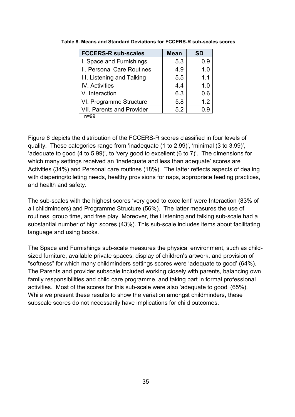| <b>FCCERS-R sub-scales</b>       | <b>Mean</b> | <b>SD</b> |
|----------------------------------|-------------|-----------|
| I. Space and Furnishings         | 5.3         | 0.9       |
| II. Personal Care Routines       | 4.9         | 1.0       |
| III. Listening and Talking       | 5.5         | 1.1       |
| <b>IV.</b> Activities            | 4.4         | 1.0       |
| V. Interaction                   | 6.3         | 0.6       |
| VI. Programme Structure          | 5.8         | 1.2       |
| <b>VII. Parents and Provider</b> | 5.2         | 0.9       |
| n=99                             |             |           |

<span id="page-34-0"></span>**11Table 8. Means and Standard Deviations for FCCERS-R sub-scales scores**

Figure 6 depicts the distribution of the FCCERS-R scores classified in four levels of quality. These categories range from 'inadequate (1 to 2.99)', 'minimal (3 to 3.99)', 'adequate to good (4 to 5.99)', to 'very good to excellent (6 to 7)'. The dimensions for which many settings received an 'inadequate and less than adequate' scores are Activities (34%) and Personal care routines (18%). The latter reflects aspects of dealing with diapering/toileting needs, healthy provisions for naps, appropriate feeding practices, and health and safety.

The sub-scales with the highest scores 'very good to excellent' were Interaction (83% of all childminders) and Programme Structure (56%). The latter measures the use of routines, group time, and free play. Moreover, the Listening and talking sub-scale had a substantial number of high scores (43%). This sub-scale includes items about facilitating language and using books.

The Space and Furnishings sub-scale measures the physical environment, such as childsized furniture, available private spaces, display of children's artwork, and provision of "softness" for which many childminders settings scores were 'adequate to good' (64%). The Parents and provider subscale included working closely with parents, balancing own family responsibilities and child care programme, and taking part in formal professional activities. Most of the scores for this sub-scale were also 'adequate to good' (65%). While we present these results to show the variation amongst childminders, these subscale scores do not necessarily have implications for child outcomes.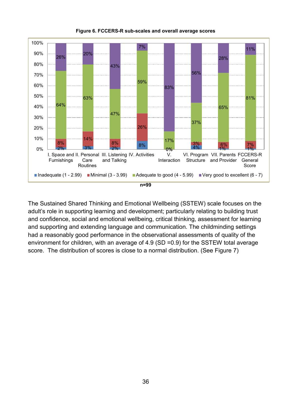<span id="page-35-0"></span>

**Figure 6. FCCERS-R sub-scales and overall average scores**

The Sustained Shared Thinking and Emotional Wellbeing (SSTEW) scale focuses on the adult's role in supporting learning and development; particularly relating to building trust and confidence, social and emotional wellbeing, critical thinking, assessment for learning and supporting and extending language and communication. The childminding settings had a reasonably good performance in the observational assessments of quality of the environment for children, with an average of 4.9 (SD =0.9) for the SSTEW total average score. The distribution of scores is close to a normal distribution. (See Figure 7)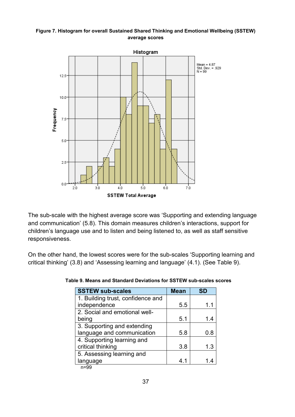#### <span id="page-36-0"></span>**Figure 7. Histogram for overall Sustained Shared Thinking and Emotional Wellbeing (SSTEW) average scores**



The sub-scale with the highest average score was 'Supporting and extending language and communication' (5.8). This domain measures children's interactions, support for children's language use and to listen and being listened to, as well as staff sensitive responsiveness.

<span id="page-36-1"></span>On the other hand, the lowest scores were for the sub-scales 'Supporting learning and critical thinking' (3.8) and 'Assessing learning and language' (4.1). (See Table 9).

| <b>SSTEW sub-scales</b>           | <b>Mean</b> | <b>SD</b> |
|-----------------------------------|-------------|-----------|
| 1. Building trust, confidence and |             |           |
| independence                      | 5.5         | 1.1       |
| 2. Social and emotional well-     |             |           |
| being                             | 5.1         | 1.4       |
| 3. Supporting and extending       |             |           |
| language and communication        | 5.8         | 0.8       |
| 4. Supporting learning and        |             |           |
| critical thinking                 | 3.8         | 1.3       |
| 5. Assessing learning and         |             |           |
| language                          | 41          |           |
| $n = n$                           |             |           |

**12Table 9. Means and Standard Deviations for SSTEW sub-scales scores** 

n=99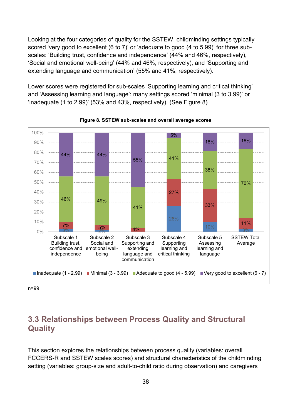Looking at the four categories of quality for the SSTEW, childminding settings typically scored 'very good to excellent (6 to 7)' or 'adequate to good (4 to 5.99)' for three subscales: 'Building trust, confidence and independence' (44% and 46%, respectively), 'Social and emotional well-being' (44% and 46%, respectively), and 'Supporting and extending language and communication' (55% and 41%, respectively).

Lower scores were registered for sub-scales 'Supporting learning and critical thinking' and 'Assessing learning and language': many settings scored 'minimal (3 to 3.99)' or 'inadequate (1 to 2.99)' (53% and 43%, respectively). (See Figure 8)

<span id="page-37-1"></span>

**Figure 8. SSTEW sub-scales and overall average scores**

n=99

# <span id="page-37-0"></span>**3.3 Relationships between Process Quality and Structural Quality**

This section explores the relationships between process quality (variables: overall FCCERS-R and SSTEW scales scores) and structural characteristics of the childminding setting (variables: group-size and adult-to-child ratio during observation) and caregivers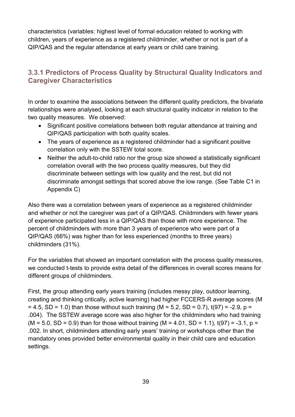characteristics (variables: highest level of formal education related to working with children, years of experience as a registered childminder, whether or not is part of a QIP/QAS and the regular attendance at early years or child care training.

### <span id="page-38-0"></span>**3.3.1 Predictors of Process Quality by Structural Quality Indicators and Caregiver Characteristics**

In order to examine the associations between the different quality predictors, the bivariate relationships were analysed, looking at each structural quality indicator in relation to the two quality measures. We observed:

- Significant positive correlations between both regular attendance at training and QIP/QAS participation with both quality scales.
- The years of experience as a registered childminder had a significant positive correlation only with the SSTEW total score.
- Neither the adult-to-child ratio nor the group size showed a statistically significant correlation overall with the two process quality measures, but they did discriminate between settings with low quality and the rest, but did not discriminate amongst settings that scored above the low range. (See Table C1 in Appendix C)

Also there was a correlation between years of experience as a registered childminder and whether or not the caregiver was part of a QIP/QAS. Childminders with fewer years of experience participated less in a QIP/QAS than those with more experience. The percent of childminders with more than 3 years of experience who were part of a QIP/QAS (66%) was higher than for less experienced (months to three years) childminders (31%).

For the variables that showed an important correlation with the process quality measures, we conducted t-tests to provide extra detail of the differences in overall scores means for different groups of childminders.

First, the group attending early years training (includes messy play, outdoor learning, creating and thinking critically, active learning) had higher FCCERS-R average scores (M  $= 4.5$ , SD = 1.0) than those without such training (M = 5.2, SD = 0.7), t(97) = -2.9, p = .004). The SSTEW average score was also higher for the childminders who had training  $(M = 5.0, SD = 0.9)$  than for those without training  $(M = 4.01, SD = 1.1)$ , t(97) = -3.1, p = .002. In short, childminders attending early years' training or workshops other than the mandatory ones provided better environmental quality in their child care and education settings.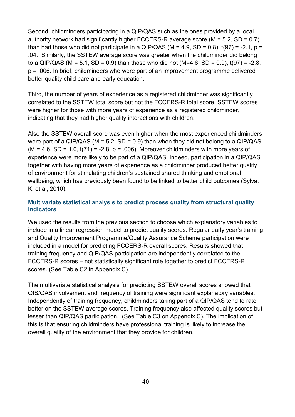Second, childminders participating in a QIP/QAS such as the ones provided by a local authority network had significantly higher FCCERS-R average score  $(M = 5.2, SD = 0.7)$ than had those who did not participate in a QIP/QAS (M = 4.9, SD = 0.8),  $t(97) = -2.1$ , p = .04. Similarly, the SSTEW average score was greater when the childminder did belong to a QIP/QAS (M = 5.1, SD = 0.9) than those who did not (M=4.6, SD = 0.9),  $t(97)$  = -2.8, p = .006. In brief, childminders who were part of an improvement programme delivered better quality child care and early education.

Third, the number of years of experience as a registered childminder was significantly correlated to the SSTEW total score but not the FCCERS-R total score. SSTEW scores were higher for those with more years of experience as a registered childminder, indicating that they had higher quality interactions with children.

Also the SSTEW overall score was even higher when the most experienced childminders were part of a QIP/QAS ( $M = 5.2$ , SD = 0.9) than when they did not belong to a QIP/QAS  $(M = 4.6, SD = 1.0, t(71) = -2.8, p = .006)$ . Moreover childminders with more years of experience were more likely to be part of a QIP/QAS. Indeed, participation in a QIP/QAS together with having more years of experience as a childminder produced better quality of environment for stimulating children's sustained shared thinking and emotional wellbeing, which has previously been found to be linked to better child outcomes (Sylva, K. et al, 2010).

### **Multivariate statistical analysis to predict process quality from structural quality indicators**

We used the results from the previous section to choose which explanatory variables to include in a linear regression model to predict quality scores. Regular early year's training and Quality Improvement Programme/Quality Assurance Scheme participation were included in a model for predicting FCCERS-R overall scores. Results showed that training frequency and QIP/QAS participation are independently correlated to the FCCERS-R scores – not statistically significant role together to predict FCCERS-R scores. (See Table C2 in Appendix C)

The multivariate statistical analysis for predicting SSTEW overall scores showed that QIS/QAS involvement and frequency of training were significant explanatory variables. Independently of training frequency, childminders taking part of a QIP/QAS tend to rate better on the SSTEW average scores. Training frequency also affected quality scores but lesser than QIP/QAS participation. (See Table C3 on Appendix C). The implication of this is that ensuring childminders have professional training is likely to increase the overall quality of the environment that they provide for children.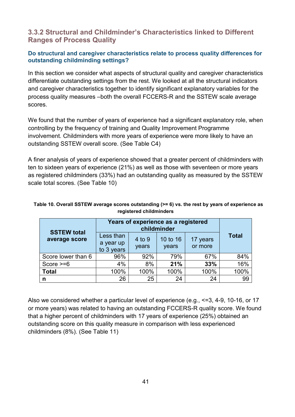### <span id="page-40-0"></span>**3.3.2 Structural and Childminder's Characteristics linked to Different Ranges of Process Quality**

### **Do structural and caregiver characteristics relate to process quality differences for outstanding childminding settings?**

In this section we consider what aspects of structural quality and caregiver characteristics differentiate outstanding settings from the rest. We looked at all the structural indicators and caregiver characteristics together to identify significant explanatory variables for the process quality measures –both the overall FCCERS-R and the SSTEW scale average scores.

We found that the number of years of experience had a significant explanatory role, when controlling by the frequency of training and Quality Improvement Programme involvement. Childminders with more years of experience were more likely to have an outstanding SSTEW overall score. (See Table C4)

A finer analysis of years of experience showed that a greater percent of childminders with ten to sixteen years of experience (21%) as well as those with seventeen or more years as registered childminders (33%) had an outstanding quality as measured by the SSTEW scale total scores. (See Table 10)

|                                     | Years of experience as a registered<br>childminder |                 |                   |                     |              |
|-------------------------------------|----------------------------------------------------|-----------------|-------------------|---------------------|--------------|
| <b>SSTEW total</b><br>average score | Less than<br>a year up<br>to 3 years               | 4 to 9<br>years | 10 to 16<br>years | 17 years<br>or more | <b>Total</b> |
| Score lower than 6                  | 96%                                                | 92%             | 79%               | 67%                 | 84%          |
| Score $>= 6$                        | 4%                                                 | 8%              | 21%               | 33%                 | 16%          |
| <b>Total</b>                        | 100%                                               | 100%            | 100%              | 100%                | 100%         |
| n                                   | 26                                                 | 25              | 24                | 24                  | 99           |

#### <span id="page-40-1"></span>**13Table 10. Overall SSTEW average scores outstanding (>= 6) vs. the rest by years of experience as registered childminders**

Also we considered whether a particular level of experience (e.g., <=3, 4-9, 10-16, or 17 or more years) was related to having an outstanding FCCERS-R quality score. We found that a higher percent of childminders with 17 years of experience (25%) obtained an outstanding score on this quality measure in comparison with less experienced childminders (8%). (See Table 11)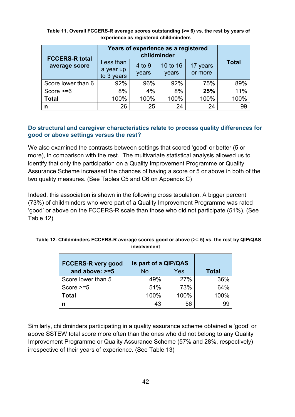|                                        | Years of experience as a registered<br>childminder |                 |                   |                     |              |
|----------------------------------------|----------------------------------------------------|-----------------|-------------------|---------------------|--------------|
| <b>FCCERS-R total</b><br>average score | Less than<br>a year up<br>to 3 years               | 4 to 9<br>years | 10 to 16<br>years | 17 years<br>or more | <b>Total</b> |
| Score lower than 6                     | 92%                                                | 96%             | 92%               | 75%                 | 89%          |
| Score $>= 6$                           | 8%                                                 | 4%              | 8%                | 25%                 | 11%          |
| <b>Total</b>                           | 100%                                               | 100%            | 100%              | 100%                | 100%         |
| n                                      | 26                                                 | 25              | 24                | 24                  | 99           |

<span id="page-41-0"></span>Table 11. Overall FCCERS-R average scores outstanding (>= 6) vs. the rest by years of **experience as registered childminders**

#### **Do structural and caregiver characteristics relate to process quality differences for good or above settings versus the rest?**

We also examined the contrasts between settings that scored 'good' or better (5 or more), in comparison with the rest. The multivariate statistical analysis allowed us to identify that only the participation on a Quality Improvement Programme or Quality Assurance Scheme increased the chances of having a score or 5 or above in both of the two quality measures. (See Tables C5 and C6 on Appendix C)

Indeed, this association is shown in the following cross tabulation. A bigger percent (73%) of childminders who were part of a Quality Improvement Programme was rated 'good' or above on the FCCERS-R scale than those who did not participate (51%). (See Table 12)

<span id="page-41-1"></span>

| Table 12. Childminders FCCERS-R average scores good or above (>= 5) vs. the rest by QIP/QAS |
|---------------------------------------------------------------------------------------------|
| involvement                                                                                 |

| <b>FCCERS-R very good</b> | Is part of a QIP/QAS |      |              |
|---------------------------|----------------------|------|--------------|
| and above: $>=5$          | <b>No</b>            | Yes  | <b>Total</b> |
| Score lower than 5        | 49%                  | 27%  | 36%          |
| Score $>=5$               | 51%                  | 73%  | 64%          |
| Total                     | 100%                 | 100% | 100%         |
| n                         | 43                   | 56   | 99           |

Similarly, childminders participating in a quality assurance scheme obtained a 'good' or above SSTEW total score more often than the ones who did not belong to any Quality Improvement Programme or Quality Assurance Scheme (57% and 28%, respectively) irrespective of their years of experience. (See Table 13)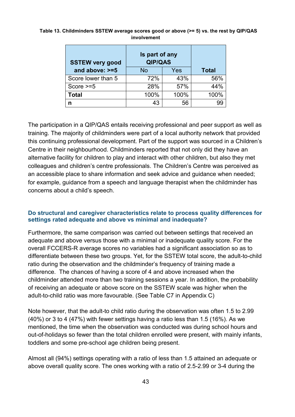| <b>SSTEW very good</b> | Is part of any<br><b>QIP/QAS</b> |              |      |
|------------------------|----------------------------------|--------------|------|
| and above: $>=5$       | No                               | <b>Total</b> |      |
| Score lower than 5     | 72%                              | 43%          | 56%  |
| Score $>=5$            | 28%                              | 57%          | 44%  |
| <b>Total</b>           | 100%                             | 100%         | 100% |
| n                      | 43                               | 56           |      |

#### <span id="page-42-0"></span>**16Table 13. Childminders SSTEW average scores good or above (>= 5) vs. the rest by QIP/QAS involvement**

The participation in a QIP/QAS entails receiving professional and peer support as well as training. The majority of childminders were part of a local authority network that provided this continuing professional development. Part of the support was sourced in a Children's Centre in their neighbourhood. Childminders reported that not only did they have an alternative facility for children to play and interact with other children, but also they met colleagues and children's centre professionals. The Children's Centre was perceived as an accessible place to share information and seek advice and guidance when needed; for example, guidance from a speech and language therapist when the childminder has concerns about a child's speech.

#### **Do structural and caregiver characteristics relate to process quality differences for settings rated adequate and above vs minimal and inadequate?**

Furthermore, the same comparison was carried out between settings that received an adequate and above versus those with a minimal or inadequate quality score. For the overall FCCERS-R average scores no variables had a significant association so as to differentiate between these two groups. Yet, for the SSTEW total score, the adult-to-child ratio during the observation and the childminder's frequency of training made a difference. The chances of having a score of 4 and above increased when the childminder attended more than two training sessions a year. In addition, the probability of receiving an adequate or above score on the SSTEW scale was higher when the adult-to-child ratio was more favourable. (See Table C7 in Appendix C)

Note however, that the adult-to child ratio during the observation was often 1.5 to 2.99 (40%) or 3 to 4 (47%) with fewer settings having a ratio less than 1.5 (16%). As we mentioned, the time when the observation was conducted was during school hours and out-of-holidays so fewer than the total children enrolled were present, with mainly infants, toddlers and some pre-school age children being present.

Almost all (94%) settings operating with a ratio of less than 1.5 attained an adequate or above overall quality score. The ones working with a ratio of 2.5-2.99 or 3-4 during the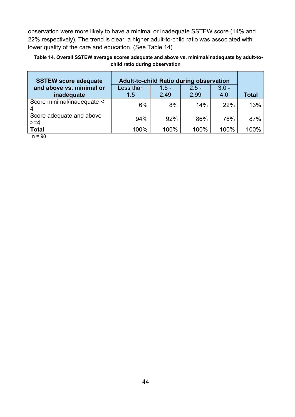observation were more likely to have a minimal or inadequate SSTEW score (14% and 22% respectively). The trend is clear: a higher adult-to-child ratio was associated with lower quality of the care and education. (See Table 14)

<span id="page-43-0"></span>**17Table 14. Overall SSTEW average scores adequate and above vs. minimal/inadequate by adult-tochild ratio during observation**

| <b>SSTEW score adequate</b>            | <b>Adult-to-child Ratio during observation</b> |                 |                 |                |              |
|----------------------------------------|------------------------------------------------|-----------------|-----------------|----------------|--------------|
| and above vs. minimal or<br>inadequate | Less than<br>1.5                               | $1.5 -$<br>2.49 | $2.5 -$<br>2.99 | $3.0 -$<br>4.0 | <b>Total</b> |
| Score minimal/inadequate <             | 6%                                             | 8%              | 14%             | 22%            | 13%          |
| Score adequate and above<br>$>= 4$     | 94%                                            | 92%             | 86%             | 78%            | 87%          |
| <b>Total</b><br>$\sim$ 00              | 100%                                           | 100%            | 100%            | 100%           | 100%         |

n = 98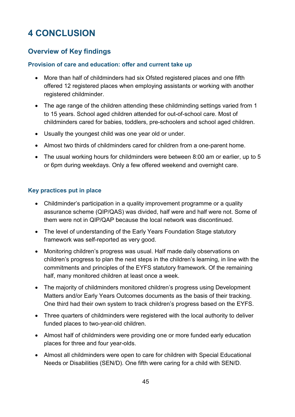# <span id="page-44-0"></span>**4 CONCLUSION**

### <span id="page-44-1"></span>**Overview of Key findings**

#### **Provision of care and education: offer and current take up**

- More than half of childminders had six Ofsted registered places and one fifth offered 12 registered places when employing assistants or working with another registered childminder.
- The age range of the children attending these childminding settings varied from 1 to 15 years. School aged children attended for out-of-school care. Most of childminders cared for babies, toddlers, pre-schoolers and school aged children.
- Usually the youngest child was one year old or under.
- Almost two thirds of childminders cared for children from a one-parent home.
- The usual working hours for childminders were between 8:00 am or earlier, up to 5 or 6pm during weekdays. Only a few offered weekend and overnight care.

#### **Key practices put in place**

- Childminder's participation in a quality improvement programme or a quality assurance scheme (QIP/QAS) was divided, half were and half were not. Some of them were not in QIP/QAP because the local network was discontinued.
- The level of understanding of the Early Years Foundation Stage statutory framework was self-reported as very good.
- Monitoring children's progress was usual. Half made daily observations on children's progress to plan the next steps in the children's learning, in line with the commitments and principles of the EYFS statutory framework. Of the remaining half, many monitored children at least once a week.
- The majority of childminders monitored children's progress using Development Matters and/or Early Years Outcomes documents as the basis of their tracking. One third had their own system to track children's progress based on the EYFS.
- Three quarters of childminders were registered with the local authority to deliver funded places to two-year-old children.
- Almost half of childminders were providing one or more funded early education places for three and four year-olds.
- Almost all childminders were open to care for children with Special Educational Needs or Disabilities (SEN/D). One fifth were caring for a child with SEN/D.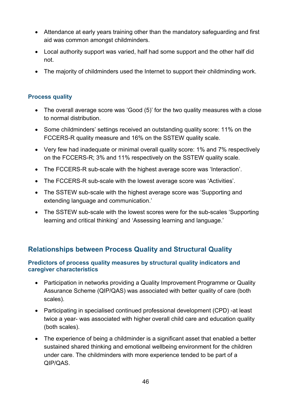- Attendance at early years training other than the mandatory safeguarding and first aid was common amongst childminders.
- Local authority support was varied, half had some support and the other half did not.
- The majority of childminders used the Internet to support their childminding work.

### **Process quality**

- The overall average score was 'Good (5)' for the two quality measures with a close to normal distribution.
- Some childminders' settings received an outstanding quality score: 11% on the FCCERS-R quality measure and 16% on the SSTEW quality scale.
- Very few had inadequate or minimal overall quality score: 1% and 7% respectively on the FCCERS-R; 3% and 11% respectively on the SSTEW quality scale.
- The FCCERS-R sub-scale with the highest average score was 'Interaction'.
- The FCCERS-R sub-scale with the lowest average score was 'Activities'.
- The SSTEW sub-scale with the highest average score was 'Supporting and extending language and communication.'
- The SSTEW sub-scale with the lowest scores were for the sub-scales 'Supporting learning and critical thinking' and 'Assessing learning and language.'

# <span id="page-45-0"></span>**Relationships between Process Quality and Structural Quality**

### **Predictors of process quality measures by structural quality indicators and caregiver characteristics**

- Participation in networks providing a Quality Improvement Programme or Quality Assurance Scheme (QIP/QAS) was associated with better quality of care (both scales).
- Participating in specialised continued professional development (CPD) -at least twice a year- was associated with higher overall child care and education quality (both scales).
- The experience of being a childminder is a significant asset that enabled a better sustained shared thinking and emotional wellbeing environment for the children under care. The childminders with more experience tended to be part of a QIP/QAS.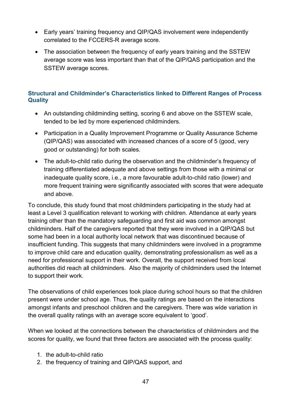- Early years' training frequency and QIP/QAS involvement were independently correlated to the FCCERS-R average score.
- The association between the frequency of early years training and the SSTEW average score was less important than that of the QIP/QAS participation and the SSTEW average scores.

### **Structural and Childminder's Characteristics linked to Different Ranges of Process Quality**

- An outstanding childminding setting, scoring 6 and above on the SSTEW scale, tended to be led by more experienced childminders.
- Participation in a Quality Improvement Programme or Quality Assurance Scheme (QIP/QAS) was associated with increased chances of a score of 5 (good, very good or outstanding) for both scales.
- The adult-to-child ratio during the observation and the childminder's frequency of training differentiated adequate and above settings from those with a minimal or inadequate quality score, i.e., a more favourable adult-to-child ratio (lower) and more frequent training were significantly associated with scores that were adequate and above.

To conclude, this study found that most childminders participating in the study had at least a Level 3 qualification relevant to working with children. Attendance at early years training other than the mandatory safeguarding and first aid was common amongst childminders. Half of the caregivers reported that they were involved in a QIP/QAS but some had been in a local authority local network that was discontinued because of insufficient funding. This suggests that many childminders were involved in a programme to improve child care and education quality, demonstrating professionalism as well as a need for professional support in their work. Overall, the support received from local authorities did reach all childminders. Also the majority of childminders used the Internet to support their work.

The observations of child experiences took place during school hours so that the children present were under school age. Thus, the quality ratings are based on the interactions amongst infants and preschool children and the caregivers. There was wide variation in the overall quality ratings with an average score equivalent to 'good'.

When we looked at the connections between the characteristics of childminders and the scores for quality, we found that three factors are associated with the process quality:

- 1. the adult-to-child ratio
- 2. the frequency of training and QIP/QAS support, and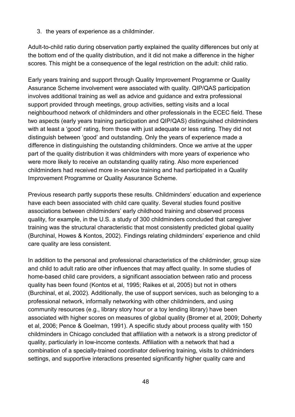3. the years of experience as a childminder.

Adult-to-child ratio during observation partly explained the quality differences but only at the bottom end of the quality distribution, and it did not make a difference in the higher scores. This might be a consequence of the legal restriction on the adult: child ratio.

Early years training and support through Quality Improvement Programme or Quality Assurance Scheme involvement were associated with quality. QIP/QAS participation involves additional training as well as advice and guidance and extra professional support provided through meetings, group activities, setting visits and a local neighbourhood network of childminders and other professionals in the ECEC field. These two aspects (early years training participation and QIP/QAS) distinguished childminders with at least a 'good' rating, from those with just adequate or less rating. They did not distinguish between 'good' and outstanding. Only the years of experience made a difference in distinguishing the outstanding childminders. Once we arrive at the upper part of the quality distribution it was childminders with more years of experience who were more likely to receive an outstanding quality rating. Also more experienced childminders had received more in-service training and had participated in a Quality Improvement Programme or Quality Assurance Scheme.

Previous research partly supports these results. Childminders' education and experience have each been associated with child care quality. Several studies found positive associations between childminders' early childhood training and observed process quality, for example, in the U.S. a study of 300 childminders concluded that caregiver training was the structural characteristic that most consistently predicted global quality (Burchinal, Howes & Kontos, 2002). Findings relating childminders' experience and child care quality are less consistent.

In addition to the personal and professional characteristics of the childminder, group size and child to adult ratio are other influences that may affect quality. In some studies of home-based child care providers, a significant association between ratio and process quality has been found (Kontos et al, 1995; Raikes et al, 2005) but not in others (Burchinal, et al, 2002). Additionally, the use of support services, such as belonging to a professional network, informally networking with other childminders, and using community resources (e.g., library story hour or a toy lending library) have been associated with higher scores on measures of global quality (Bromer et al, 2009; Doherty et al, 2006; Pence & Goelman, 1991). A specific study about process quality with 150 childminders in Chicago concluded that affiliation with a network is a strong predictor of quality, particularly in low-income contexts. Affiliation with a network that had a combination of a specially-trained coordinator delivering training, visits to childminders settings, and supportive interactions presented significantly higher quality care and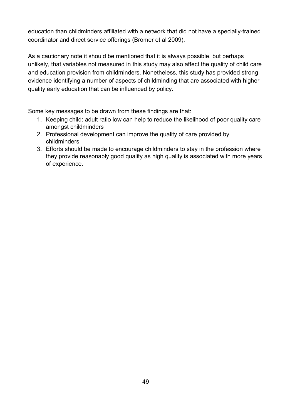education than childminders affiliated with a network that did not have a specially-trained coordinator and direct service offerings (Bromer et al 2009).

As a cautionary note it should be mentioned that it is always possible, but perhaps unlikely, that variables not measured in this study may also affect the quality of child care and education provision from childminders. Nonetheless, this study has provided strong evidence identifying a number of aspects of childminding that are associated with higher quality early education that can be influenced by policy.

Some key messages to be drawn from these findings are that:

- 1. Keeping child: adult ratio low can help to reduce the likelihood of poor quality care amongst childminders
- 2. Professional development can improve the quality of care provided by childminders
- 3. Efforts should be made to encourage childminders to stay in the profession where they provide reasonably good quality as high quality is associated with more years of experience.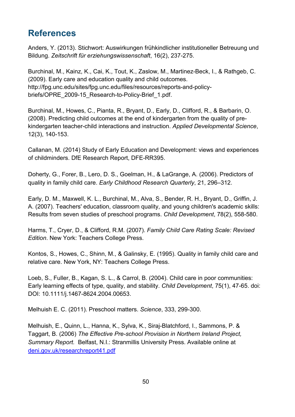# <span id="page-49-0"></span>**References**

Anders, Y. (2013). Stichwort: Auswirkungen frühkindlicher institutioneller Betreuung und Bildung. *Zeitschrift für erziehungswissenschaft*, 16(2), 237-275.

Burchinal, M., Kainz, K., Cai, K., Tout, K., Zaslow, M., Martinez-Beck, I., & Rathgeb, C. (2009). Early care and education quality and child outcomes. http://fpg.unc.edu/sites/fpg.unc.edu/files/resources/reports-and-policybriefs/OPRE\_2009-15\_Research-to-Policy-Brief\_1.pdf.

Burchinal, M., Howes, C., Pianta, R., Bryant, D., Early, D., Clifford, R., & Barbarin, O. (2008). Predicting child outcomes at the end of kindergarten from the quality of prekindergarten teacher-child interactions and instruction. *Applied Developmental Science*, 12(3), 140-153.

Callanan, M. (2014) Study of Early Education and Development: views and experiences of childminders. DfE Research Report, DFE-RR395.

Doherty, G., Forer, B., Lero, D. S., Goelman, H., & LaGrange, A. (2006). Predictors of quality in family child care. *Early Childhood Research Quarterly*, 21, 296–312.

Early, D. M., Maxwell, K. L., Burchinal, M., Alva, S., Bender, R. H., Bryant, D., Griffin, J. A. (2007). Teachers' education, classroom quality, and young children's academic skills: Results from seven studies of preschool programs. *Child Development*, 78(2), 558-580.

Harms, T., Cryer, D., & Clifford, R.M. (2007). *Family Child Care Rating Scale: Revised Edition*. New York: Teachers College Press.

Kontos, S., Howes, C., Shinn, M., & Galinsky, E. (1995). Quality in family child care and relative care. New York, NY: Teachers College Press.

Loeb, S., Fuller, B., Kagan, S. L., & Carrol, B. (2004). Child care in poor communities: Early learning effects of type, quality, and stability. *Child Development*, 75(1), 47-65. doi: DOI: 10.1111/j.1467-8624.2004.00653.

Melhuish E. C. (2011). Preschool matters. *Science*, 333, 299-300.

Melhuish, E., Quinn, L., Hanna, K., Sylva, K., Siraj-Blatchford, I., Sammons, P. & Taggart, B. (2006) *The Effective Pre-school Provision in Northern Ireland Project, Summary Report.* Belfast, N.I.: Stranmillis University Press. Available online at [deni.gov.uk/researchreport41.pdf](http://www.deni.gov.uk/researchreport41.pdf)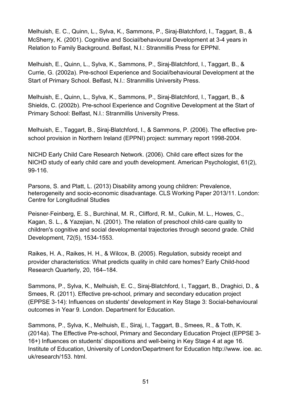Melhuish, E. C., Quinn, L., Sylva, K., Sammons, P., Siraj-Blatchford, I., Taggart, B., & McSherry, K. (2001). Cognitive and Social/behavioural Development at 3-4 years in Relation to Family Background. Belfast, N.I.: Stranmillis Press for EPPNI.

Melhuish, E., Quinn, L., Sylva, K., Sammons, P., Siraj-Blatchford, I., Taggart, B., & Currie, G. (2002a). Pre-school Experience and Social/behavioural Development at the Start of Primary School. Belfast, N.I.: Stranmillis University Press.

Melhuish, E., Quinn, L., Sylva, K., Sammons, P., Siraj-Blatchford, I., Taggart, B., & Shields, C. (2002b). Pre-school Experience and Cognitive Development at the Start of Primary School: Belfast, N.I.: Stranmillis University Press.

Melhuish, E., Taggart, B., Siraj-Blatchford, I., & Sammons, P. (2006). The effective preschool provision in Northern Ireland (EPPNI) project: summary report 1998-2004.

NICHD Early Child Care Research Network. (2006). Child care effect sizes for the NICHD study of early child care and youth development. American Psychologist, 61(2), 99-116.

Parsons, S. and Platt, L. (2013) Disability among young children: Prevalence, heterogeneity and socio-economic disadvantage. CLS Working Paper 2013/11. London: Centre for Longitudinal Studies

Peisner‐Feinberg, E. S., Burchinal, M. R., Clifford, R. M., Culkin, M. L., Howes, C., Kagan, S. L., & Yazejian, N. (2001). The relation of preschool child‐care quality to children's cognitive and social developmental trajectories through second grade. Child Development, 72(5), 1534-1553.

Raikes, H. A., Raikes, H. H., & Wilcox, B. (2005). Regulation, subsidy receipt and provider characteristics: What predicts quality in child care homes? Early Child-hood Research Quarterly, 20, 164–184.

Sammons, P., Sylva, K., Melhuish, E. C., Siraj-Blatchford, I., Taggart, B., Draghici, D., & Smees, R. (2011). Effective pre-school, primary and secondary education project (EPPSE 3-14): Influences on students' development in Key Stage 3: Social-behavioural outcomes in Year 9. London. Department for Education.

Sammons, P., Sylva, K., Melhuish, E., Siraj, I., Taggart, B., Smees, R., & Toth, K. (2014a). The Effective Pre-school, Primary and Secondary Education Project (EPPSE 3- 16+) Influences on students' dispositions and well-being in Key Stage 4 at age 16. Institute of Education, University of London/Department for Education http://www. ioe. ac. uk/research/153. html.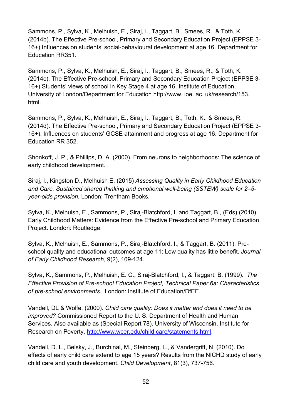Sammons, P., Sylva, K., Melhuish, E., Siraj, I., Taggart, B., Smees, R., & Toth, K. (2014b). The Effective Pre-school, Primary and Secondary Education Project (EPPSE 3- 16+) Influences on students' social-behavioural development at age 16. Department for Education RR351.

Sammons, P., Sylva, K., Melhuish, E., Siraj, I., Taggart, B., Smees, R., & Toth, K. (2014c). The Effective Pre-school, Primary and Secondary Education Project (EPPSE 3- 16+) Students' views of school in Key Stage 4 at age 16. Institute of Education, University of London/Department for Education http://www. ioe. ac. uk/research/153. html.

Sammons, P., Sylva, K., Melhuish, E., Siraj, I., Taggart, B., Toth, K., & Smees, R. (2014d). The Effective Pre-school, Primary and Secondary Education Project (EPPSE 3- 16+). Influences on students' GCSE attainment and progress at age 16. Department for Education RR 352.

Shonkoff, J. P., & Phillips, D. A. (2000). From neurons to neighborhoods: The science of early childhood development.

Siraj, I., Kingston D., Melhuish E. (2015) *Assessing Quality in Early Childhood Education and Care. Sustained shared thinking and emotional well-being (SSTEW) scale for 2–5 year-olds provision.* London: Trentham Books.

Sylva, K., Melhuish, E., Sammons, P., Siraj-Blatchford, I. and Taggart, B., (Eds) (2010). Early Childhood Matters: Evidence from the Effective Pre-school and Primary Education Project. London: Routledge.

Sylva, K., Melhuish, E., Sammons, P., Siraj-Blatchford, I., & Taggart, B. (2011). Preschool quality and educational outcomes at age 11: Low quality has little benefit. *Journal of Early Childhood Research*, 9(2), 109-124.

Sylva, K., Sammons, P., Melhuish, E. C., Siraj-Blatchford, I., & Taggart, B. (1999). *The Effective Provision of Pre-school Education Project, Technical Paper 6a: Characteristics of pre-school environments.* London: Institute of Education/DfEE.

Vandell, DL & Wolfe, (2000). *Child care quality: Does it matter and does it need to be improved?* Commissioned Report to the U. S. Department of Health and Human Services. Also available as (Special Report 78). University of Wisconsin, Institute for Research on Poverty, [http://www.wcer.edu/child care/statements.html.](http://www.wcer.edu/childcare/statements.html)

Vandell, D. L., Belsky, J., Burchinal, M., Steinberg, L., & Vandergrift, N. (2010). Do effects of early child care extend to age 15 years? Results from the NICHD study of early child care and youth development. *Child Development*, 81(3), 737-756.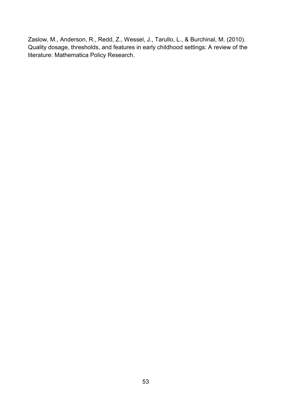Zaslow, M., Anderson, R., Redd, Z., Wessel, J., Tarullo, L., & Burchinal, M. (2010). Quality dosage, thresholds, and features in early childhood settings: A review of the literature: Mathematica Policy Research.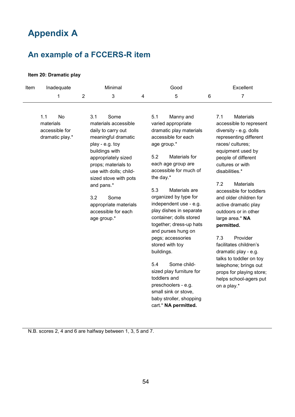# <span id="page-53-0"></span>**Appendix A**

# <span id="page-53-1"></span>**An example of a FCCERS-R item**

#### **Item 20: Dramatic play**

| Item | Minimal<br>Inadequate                                       |                                                                              |                                                                                                                                                                                                                                    | Good |                                                     |                                                                                                                                                                                                                                                                                                                                                                                                                                                                                                                                                   | Excellent |                                                                                                                                                                                                                                                                                                                                                                                                                                                                                                                                                                            |  |
|------|-------------------------------------------------------------|------------------------------------------------------------------------------|------------------------------------------------------------------------------------------------------------------------------------------------------------------------------------------------------------------------------------|------|-----------------------------------------------------|---------------------------------------------------------------------------------------------------------------------------------------------------------------------------------------------------------------------------------------------------------------------------------------------------------------------------------------------------------------------------------------------------------------------------------------------------------------------------------------------------------------------------------------------------|-----------|----------------------------------------------------------------------------------------------------------------------------------------------------------------------------------------------------------------------------------------------------------------------------------------------------------------------------------------------------------------------------------------------------------------------------------------------------------------------------------------------------------------------------------------------------------------------------|--|
|      | 1                                                           | $\overline{2}$                                                               | 3                                                                                                                                                                                                                                  | 4    |                                                     | 5                                                                                                                                                                                                                                                                                                                                                                                                                                                                                                                                                 | 6         | $\overline{7}$                                                                                                                                                                                                                                                                                                                                                                                                                                                                                                                                                             |  |
|      | 1.1<br>No<br>materials<br>accessible for<br>dramatic play.* | 3.1<br>play - e.g. toy<br>buildings with<br>and pans.*<br>3.2<br>age group.* | Some<br>materials accessible<br>daily to carry out<br>meaningful dramatic<br>appropriately sized<br>props; materials to<br>use with dolls; child-<br>sized stove with pots<br>Some<br>appropriate materials<br>accessible for each |      | 5.1<br>5.2<br>the day.*<br>5.3<br>buildings.<br>5.4 | Manny and<br>varied appropriate<br>dramatic play materials<br>accessible for each<br>age group.*<br>Materials for<br>each age group are<br>accessible for much of<br>Materials are<br>organized by type for<br>independent use - e.g.<br>play dishes in separate<br>container; dolls stored<br>together; dress-up hats<br>and purses hung on<br>pegs; accessories<br>stored with toy<br>Some child-<br>sized play furniture for<br>toddlers and<br>preschoolers - e.g.<br>small sink or stove,<br>baby stroller, shopping<br>cart.* NA permitted. |           | 7.1<br><b>Materials</b><br>accessible to represent<br>diversity - e.g. dolls<br>representing different<br>races/cultures;<br>equipment used by<br>people of different<br>cultures or with<br>disabilities.*<br>7.2<br><b>Materials</b><br>accessible for toddlers<br>and older children for<br>active dramatic play<br>outdoors or in other<br>large area.* NA<br>permitted.<br>7.3<br>Provider<br>facilitates children's<br>dramatic play - e.g.<br>talks to toddler on toy<br>telephone; brings out<br>props for playing store;<br>helps school-agers put<br>on a play.* |  |

N.B. scores 2, 4 and 6 are halfway between 1, 3, 5 and 7.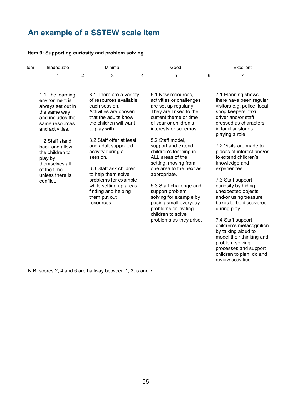# <span id="page-54-0"></span>**An example of a SSTEW scale item**

#### **Item 9: Supporting curiosity and problem solving**

| Excellent                                                                                                                                                                                                                                                                                                                                                                                                                                                                                                                                                                                         |
|---------------------------------------------------------------------------------------------------------------------------------------------------------------------------------------------------------------------------------------------------------------------------------------------------------------------------------------------------------------------------------------------------------------------------------------------------------------------------------------------------------------------------------------------------------------------------------------------------|
| 6<br>7                                                                                                                                                                                                                                                                                                                                                                                                                                                                                                                                                                                            |
| 7.1 Planning shows<br>there have been regular<br>visitors e.g. police, local<br>shop keepers, taxi<br>driver and/or staff<br>dressed as characters<br>in familiar stories<br>playing a role.<br>7.2 Visits are made to<br>places of interest and/or<br>to extend children's<br>knowledge and<br>experiences.<br>7.3 Staff support<br>curiosity by hiding<br>unexpected objects<br>and/or using treasure<br>boxes to be discovered<br>during play.<br>7.4 Staff support<br>children's metacognition<br>by talking aloud to<br>model their thinking and<br>problem solving<br>processes and support |
|                                                                                                                                                                                                                                                                                                                                                                                                                                                                                                                                                                                                   |

children to plan, do and

review activities.

N.B. scores 2, 4 and 6 are halfway between 1, 3, 5 and 7.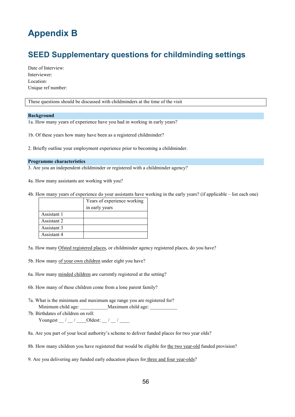# <span id="page-55-0"></span>**Appendix B**

# <span id="page-55-1"></span>**SEED Supplementary questions for childminding settings**

Date of Interview: Interviewer: Location: Unique ref number:

These questions should be discussed with childminders at the time of the visit

#### **Background**

1a. How many years of experience have you had in working in early years?

1b. Of these years how many have been as a registered childminder?

2. Briefly outline your employment experience prior to becoming a childminder.

#### **Programme characteristics**

3. Are you an independent childminder or registered with a childminder agency?

4a. How many assistants are working with you?

4b. How many years of experience do your assistants have working in the early years? (if applicable – list each one)

|             | Years of experience working<br>in early years |
|-------------|-----------------------------------------------|
| Assistant 1 |                                               |
| Assistant 2 |                                               |
| Assistant 3 |                                               |
| Assistant 4 |                                               |

5a. How many Ofsted registered places, or childminder agency registered places, do you have?

- 5b. How many of your own children under eight you have?
- 6a. How many minded children are currently registered at the setting?
- 6b. How many of these children come from a lone parent family?
- 7a. What is the minimum and maximum age range you are registered for? Minimum child age:  $\blacksquare$  Maximum child age:
- 7b. Birthdates of children on roll: Youngest  $\frac{1}{2}$  /  $\frac{1}{2}$  /  $\frac{1}{2}$  Oldest:  $\frac{1}{2}$  /  $\frac{1}{2}$
- 8a. Are you part of your local authority's scheme to deliver funded places for two year olds?
- 8b. How many children you have registered that would be eligible for the two year-old funded provision?

9. Are you delivering any funded early education places for three and four year-olds?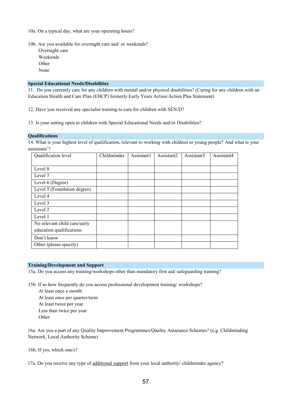10a. On a typical day, what are your operating hours?

10b. Are you available for overnight care and/ or weekends?

Overnight care Weekends **Other** None

#### **Special Educational Needs/Disabilities**

11. Do you currently care for any children with mental and/or physical disabilities? (Caring for any children with an Education Health and Care Plan (EHCP) formerly Early Years Action/Action Plus Statement)

12. Have you received any specialist training to care for children with SEN/D?

13. Is your setting open to children with Special Educational Needs and/or Disabilities?

#### **Qualifications**

14. What is your highest level of qualification, relevant to working with children or young people? And what is your assistants'?

| Qualification level          | Childminder | Assistant1 | Assistant2 | Assistant3 | Assistant4 |
|------------------------------|-------------|------------|------------|------------|------------|
|                              |             |            |            |            |            |
| Level 8                      |             |            |            |            |            |
| Level 7                      |             |            |            |            |            |
| Level 6 (Degree)             |             |            |            |            |            |
| Level 5 (Foundation degree)  |             |            |            |            |            |
| Level 4                      |             |            |            |            |            |
| Level 3                      |             |            |            |            |            |
| Level 2                      |             |            |            |            |            |
| Level 1                      |             |            |            |            |            |
| No relevant child care/early |             |            |            |            |            |
| education qualifications     |             |            |            |            |            |
| Don't know                   |             |            |            |            |            |
| Other (please specify)       |             |            |            |            |            |

#### **Training/Development and Support**

15a. Do you access any training/workshops other than mandatory first aid/ safeguarding training?

15b. If so how frequently do you access professional development training/ workshops?

At least once a month At least once per quarter/term At least twice per year Less than twice per year Other

16a. Are you a part of any Quality Improvement Programmes/Quality Assurance Schemes? (e.g. Childminding Network, Local Authority Scheme)

16b. If yes, which one/s?

17a. Do you receive any type of additional support from your local authority/ childminder agency?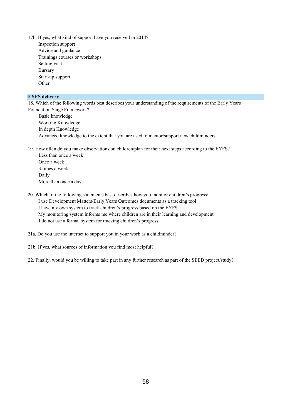- 17b. If yes, what kind of support have you received in 2014? Inspection support
	- Advice and guidance Trainings courses or workshops Setting visit Bursary Start-up support Other

#### **EYFS delivery**

18. Which of the following words best describes your understanding of the requirements of the Early Years Foundation Stage Framework?

| Basic knowledge                                                                       |
|---------------------------------------------------------------------------------------|
| Working Knowledge                                                                     |
| In depth Knowledge                                                                    |
| Advanced knowledge to the extent that you are used to mentor/support new childminders |

19. How often do you make observations on children/plan for their next steps according to the EYFS?

Less than once a week Once a week 3 times a week Daily More than once a day

#### 20. Which of the following statements best describes how you monitor children's progress: I use Development Matters/Early Years Outcomes documents as a tracking tool I have my own system to track children's progress based on the EYFS My monitoring system informs me where children are in their learning and development I do not use a formal system for tracking children's progress

21a. Do you use the internet to support you in your work as a childminder?

21b. If yes, what sources of information you find most helpful?

22. Finally, would you be willing to take part in any further research as part of the SEED project/study?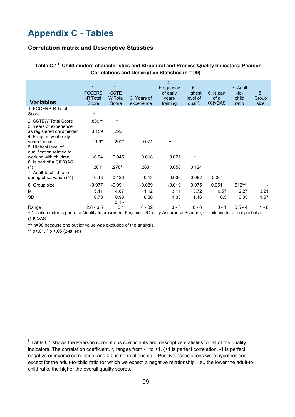# <span id="page-58-0"></span>**Appendix C - Tables**

#### **Correlation matrix and Descriptive Statistics**

<span id="page-58-1"></span>

| Table C.1 <sup>8</sup> Childminders characteristics and Structural and Process Quality Indicators: Pearson |
|------------------------------------------------------------------------------------------------------------|
| <b>Correlations and Descriptive Statistics (n = 99)</b>                                                    |

| <b>Variables</b><br>1. FCCERS-R Total<br>Score                    | $\mathbf 1$ .<br><b>FCCERS</b><br>-R Total<br>Score | 2.<br><b>SSTE</b><br>W Total<br>Score | 3. Years of<br>experience | $\overline{4}$ .<br>Frequency<br>of early<br>years<br>training | 5.<br><b>Highest</b><br>level of<br>qualif. | 6. Is part<br>of a<br>QIP/QAS | 7. Adult<br>-to-<br>child<br>ratio | 8.<br>Group<br>size |
|-------------------------------------------------------------------|-----------------------------------------------------|---------------------------------------|---------------------------|----------------------------------------------------------------|---------------------------------------------|-------------------------------|------------------------------------|---------------------|
| 2. SSTEW Total Score<br>3. Years of experience                    | .839**                                              |                                       |                           |                                                                |                                             |                               |                                    |                     |
| as registered childminder<br>4. Frequency of early                | 0.159                                               | .222*                                 |                           |                                                                |                                             |                               |                                    |                     |
| years training<br>5. Highest level of<br>qualification related to | $.199*$                                             | $.200*$                               | 0.071                     |                                                                |                                             |                               |                                    |                     |
| working with children<br>6. Is part of a QIP/QAS                  | $-0.04$                                             | 0.045                                 | 0.018                     | 0.021                                                          |                                             |                               |                                    |                     |
| $($ <sup><math>\wedge</math></sup> )<br>7. Adult-to-child ratio   | .204*                                               | $.276**$                              | .263**                    | 0.056                                                          | 0.124                                       |                               |                                    |                     |
| during observation (^^)                                           | $-0.13$                                             | $-0.126$                              | $-0.13$                   | 0.036                                                          | $-0.082$                                    | $-0.001$                      |                                    |                     |
| 8. Group size                                                     | $-0.077$                                            | $-0.091$                              | $-0.089$                  | $-0.019$                                                       | 0.075                                       | 0.051                         | $.512**$                           |                     |
| м                                                                 | 5.11                                                | 4.87                                  | 11.12                     | 3.11                                                           | 3.72                                        | 0.57                          | 2.27                               | 3.21                |
| <b>SD</b>                                                         | 0.73                                                | 0.93<br>$2.4 -$                       | 8.36                      | 1.38                                                           | 1.46                                        | 0.5                           | 0.83                               | 1.67                |
| Range                                                             | $2.8 - 6.5$                                         | 6.4                                   | $0 - 32$                  | $0 - 5$                                                        | $0 - 6$                                     | $0 - 1$                       | $0.5 - 4$                          | $1 - 8$             |

^ 1=childminder is part of a Quality Improvement Programme/Quality Assurance Scheme, 0=childminder is not part of a QIP/QAS.

^^ n=98 because one outlier value was excluded of the analysis.

\*\* p <. 01, \* p <. 05 (2-tailed)

<u>.</u>

<span id="page-58-2"></span> $8$  Table C1 shows the Pearson correlations coefficients and descriptive statistics for all of the quality indicators. The correlation coefficient, r, ranges from -1 to +1, (+1 is perfect correlation, -1 is perfect negative or inverse correlation, and 0.0 is no relationship). Positive associations were hypothesised, except for the adult-to-child ratio for which we expect a negative relationship, i.e., the lower the adult-tochild ratio, the higher the overall quality scores.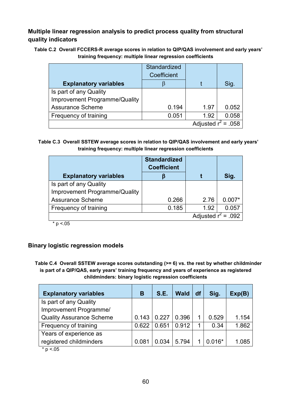### **Multiple linear regression analysis to predict process quality from structural quality indicators**

<span id="page-59-0"></span>**19Table C.2 Overall FCCERS-R average scores in relation to QIP/QAS involvement and early years' training frequency: multiple linear regression coefficients**

|                               | Standardized |      |       |  |  |  |  |
|-------------------------------|--------------|------|-------|--|--|--|--|
|                               | Coefficient  |      |       |  |  |  |  |
| <b>Explanatory variables</b>  |              |      | Sig.  |  |  |  |  |
| Is part of any Quality        |              |      |       |  |  |  |  |
| Improvement Programme/Quality |              |      |       |  |  |  |  |
| <b>Assurance Scheme</b>       | 0.194        | 1.97 | 0.052 |  |  |  |  |
| Frequency of training         | 0.051        | 1.92 | 0.058 |  |  |  |  |
| Adjusted $r^2$ = .058         |              |      |       |  |  |  |  |

<span id="page-59-1"></span>**20Table C.3 Overall SSTEW average scores in relation to QIP/QAS involvement and early years' training frequency: multiple linear regression coefficients**

|                               | <b>Standardized</b><br><b>Coefficient</b> |      |          |  |  |  |
|-------------------------------|-------------------------------------------|------|----------|--|--|--|
| <b>Explanatory variables</b>  |                                           |      | Sig.     |  |  |  |
| Is part of any Quality        |                                           |      |          |  |  |  |
| Improvement Programme/Quality |                                           |      |          |  |  |  |
| <b>Assurance Scheme</b>       | 0.266                                     | 2.76 | $0.007*$ |  |  |  |
| Frequency of training         | 0.185                                     | 1.92 | 0.057    |  |  |  |
| Adjusted $r^2$ = .092         |                                           |      |          |  |  |  |

 $* p < 05$ 

### **Binary logistic regression models**

<span id="page-59-2"></span>**21Table C.4 Overall SSTEW average scores outstanding (>= 6) vs. the rest by whether childminder is part of a QIP/QAS, early years' training frequency and years of experience as registered childminders: binary logistic regression coefficients**

| <b>Explanatory variables</b>    | В     | <b>S.E.</b> | <b>Wald</b> | df | Sig.     | Exp(B) |
|---------------------------------|-------|-------------|-------------|----|----------|--------|
| Is part of any Quality          |       |             |             |    |          |        |
| Improvement Programme/          |       |             |             |    |          |        |
| <b>Quality Assurance Scheme</b> | 0.143 | 0.227       | 0.396       |    | 0.529    | 1.154  |
| Frequency of training           | 0.622 | 0.651       | 0.912       | 1  | 0.34     | 1.862  |
| Years of experience as          |       |             |             |    |          |        |
| registered childminders         | 0.081 | 0.034       | 5.794       |    | $0.016*$ | 1.085  |

 $*$  p <.05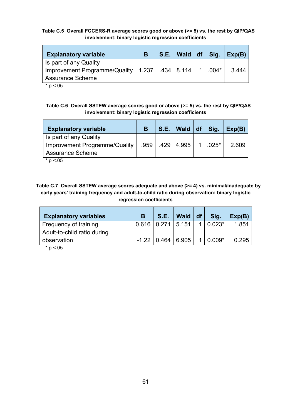#### <span id="page-60-0"></span>**22Table C.5 Overall FCCERS-R average scores good or above (>= 5) vs. the rest by QIP/QAS involvement: binary logistic regression coefficients**

| <b>Explanatory variable</b>                                                                                 | В | $S.E.$   Wald   df | Sig.      | Exp(B) |
|-------------------------------------------------------------------------------------------------------------|---|--------------------|-----------|--------|
| Is part of any Quality<br>Improvement Programme/Quality   1.237   .434   8.114  <br><b>Assurance Scheme</b> |   |                    | $1$ .004* | 3.444  |

 $* p < 0.05$ 

<span id="page-60-1"></span>**23Table C.6 Overall SSTEW average scores good or above (>= 5) vs. the rest by QIP/QAS involvement: binary logistic regression coefficients**

| <b>Explanatory variable</b>   | <b>S.E.</b> | Wald $ df $         | Sig.            | Exp(B) |
|-------------------------------|-------------|---------------------|-----------------|--------|
| Is part of any Quality        |             |                     |                 |        |
| Improvement Programme/Quality |             | .959   .429   4.995 | $1 \cdot 025^*$ | 2.609  |
| <b>Assurance Scheme</b>       |             |                     |                 |        |

 $* p < 05$ 

<span id="page-60-2"></span>**24Table C.7 Overall SSTEW average scores adequate and above (>= 4) vs. minimal/inadequate by early years' training frequency and adult-to-child ratio during observation: binary logistic regression coefficients**

| <b>Explanatory variables</b> | B | S.E.                    | Wald $ df $             |                      | Sig.         | Exp(B) |
|------------------------------|---|-------------------------|-------------------------|----------------------|--------------|--------|
| Frequency of training        |   | $0.616$   0.271   5.151 |                         | $\blacktriangleleft$ | $ 0.023*$    | 1.851  |
| Adult-to-child ratio during  |   |                         |                         |                      |              |        |
| observation                  |   |                         | $-1.22$   0.464   6.905 |                      | $1   0.009*$ | 0.295  |
| $+$ $ -$                     |   |                         |                         |                      |              |        |

 $p < 0.05$